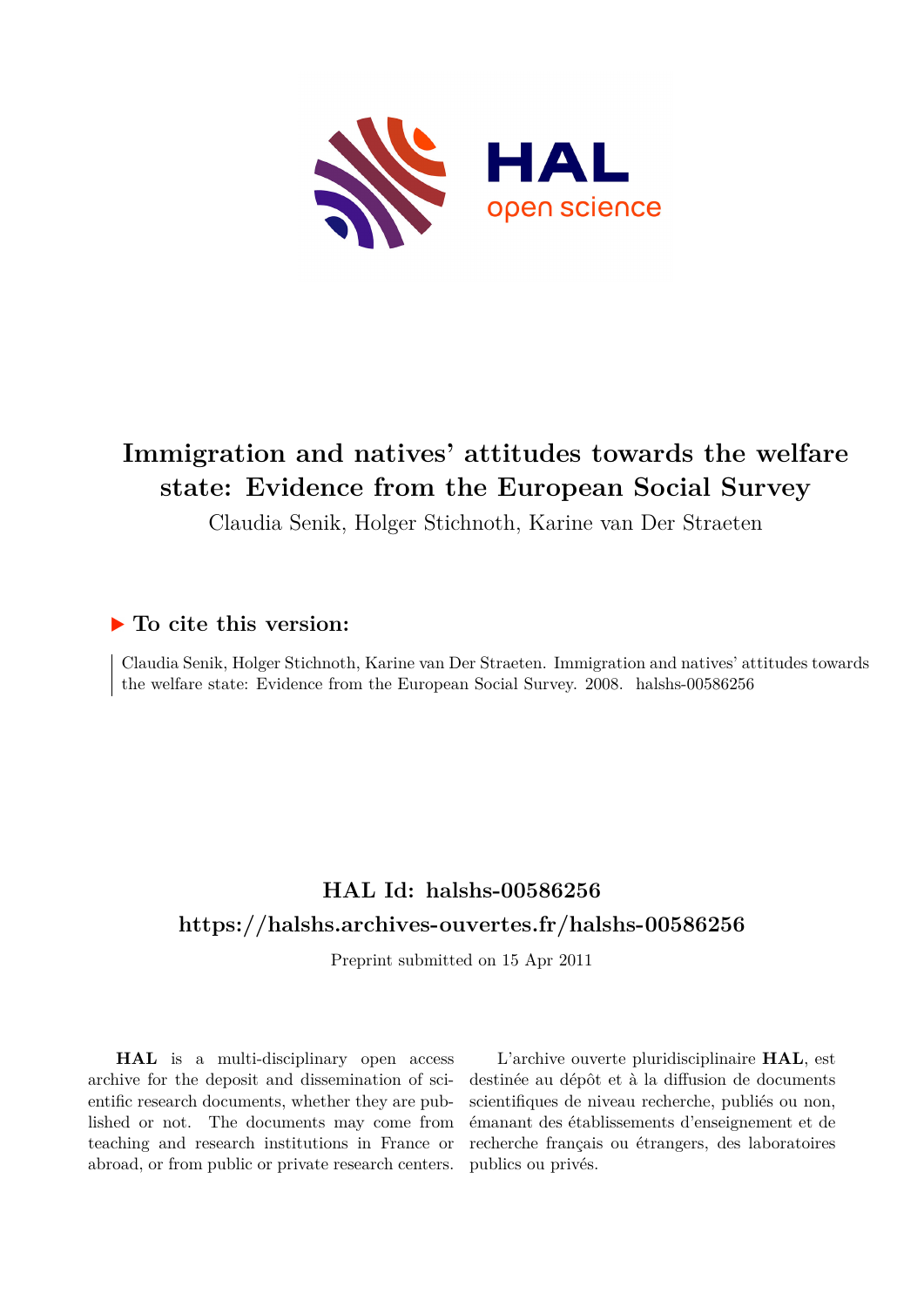

# **Immigration and natives' attitudes towards the welfare state: Evidence from the European Social Survey**

Claudia Senik, Holger Stichnoth, Karine van Der Straeten

## **To cite this version:**

Claudia Senik, Holger Stichnoth, Karine van Der Straeten. Immigration and natives' attitudes towards the welfare state: Evidence from the European Social Survey.  $2008$ . halshs-00586256

# **HAL Id: halshs-00586256 <https://halshs.archives-ouvertes.fr/halshs-00586256>**

Preprint submitted on 15 Apr 2011

**HAL** is a multi-disciplinary open access archive for the deposit and dissemination of scientific research documents, whether they are published or not. The documents may come from teaching and research institutions in France or abroad, or from public or private research centers.

L'archive ouverte pluridisciplinaire **HAL**, est destinée au dépôt et à la diffusion de documents scientifiques de niveau recherche, publiés ou non, émanant des établissements d'enseignement et de recherche français ou étrangers, des laboratoires publics ou privés.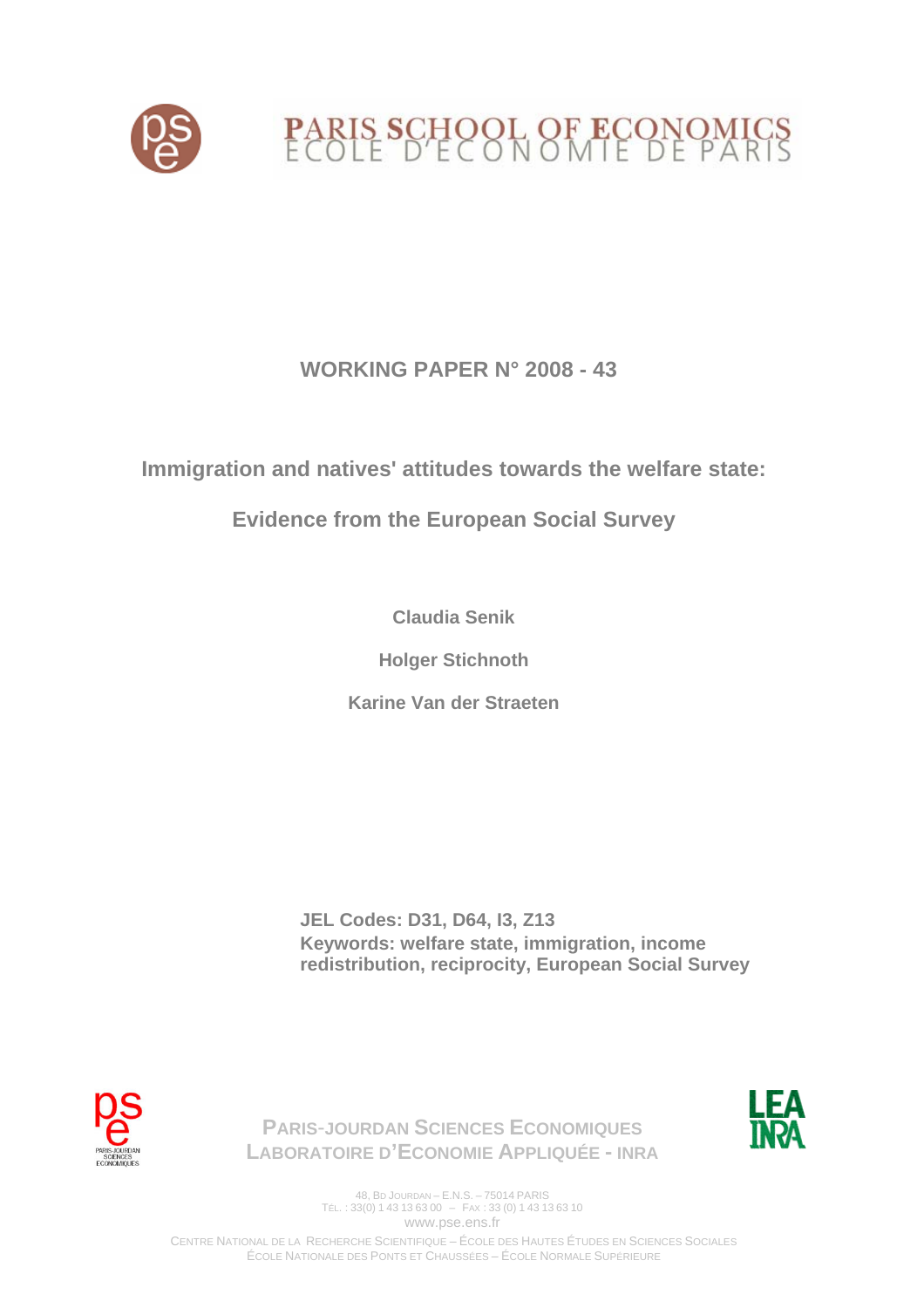

# **WORKING PAPER N° 2008 - 43**

**Immigration and natives' attitudes towards the welfare state:** 

**Evidence from the European Social Survey** 

**Claudia Senik** 

**Holger Stichnoth** 

**Karine Van der Straeten** 

**JEL Codes: D31, D64, I3, Z13 Keywords: welfare state, immigration, income redistribution, reciprocity, European Social Survey** 





**PARIS**-**JOURDAN SCIENCES ECONOMIQUES LABORATOIRE D'ECONOMIE APPLIQUÉE - INRA**

> 48, BD JOURDAN – E.N.S. – 75014 PARIS TÉL. : 33(0) 1 43 13 63 00 – FAX : 33 (0) 1 43 13 63 10 www.pse.ens.fr

CENTRE NATIONAL DE LA RECHERCHE SCIENTIFIQUE – ÉCOLE DES HAUTES ÉTUDES EN SCIENCES SOCIALES ÉCOLE NATIONALE DES PONTS ET CHAUSSÉES – ÉCOLE NORMALE SUPÉRIEURE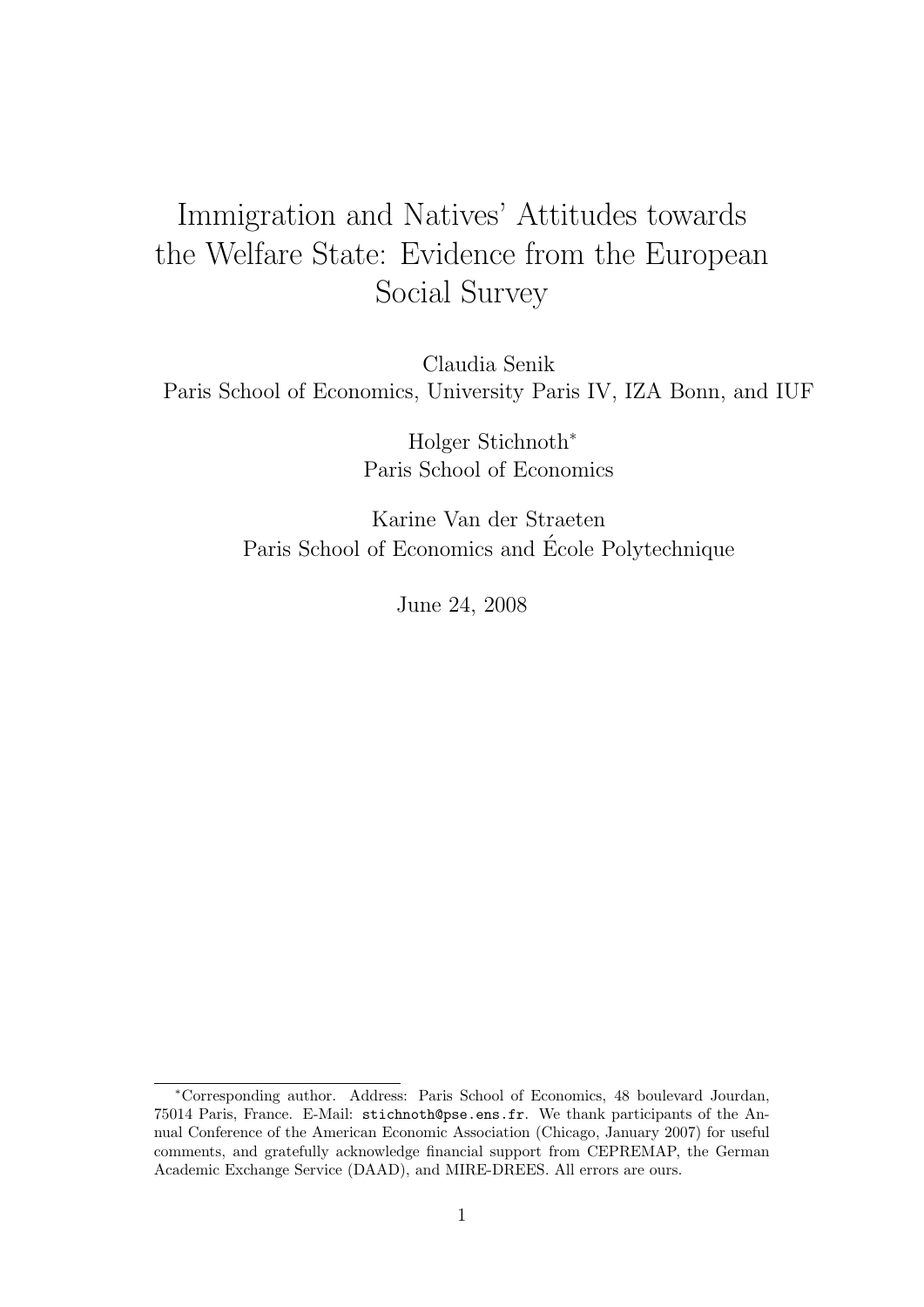# Immigration and Natives' Attitudes towards the Welfare State: Evidence from the European Social Survey

Claudia Senik Paris School of Economics, University Paris IV, IZA Bonn, and IUF

> Holger Stichnoth<sup>∗</sup> Paris School of Economics

Karine Van der Straeten Paris School of Economics and École Polytechnique

June 24, 2008

<sup>∗</sup>Corresponding author. Address: Paris School of Economics, 48 boulevard Jourdan, 75014 Paris, France. E-Mail: stichnoth@pse.ens.fr. We thank participants of the Annual Conference of the American Economic Association (Chicago, January 2007) for useful comments, and gratefully acknowledge financial support from CEPREMAP, the German Academic Exchange Service (DAAD), and MIRE-DREES. All errors are ours.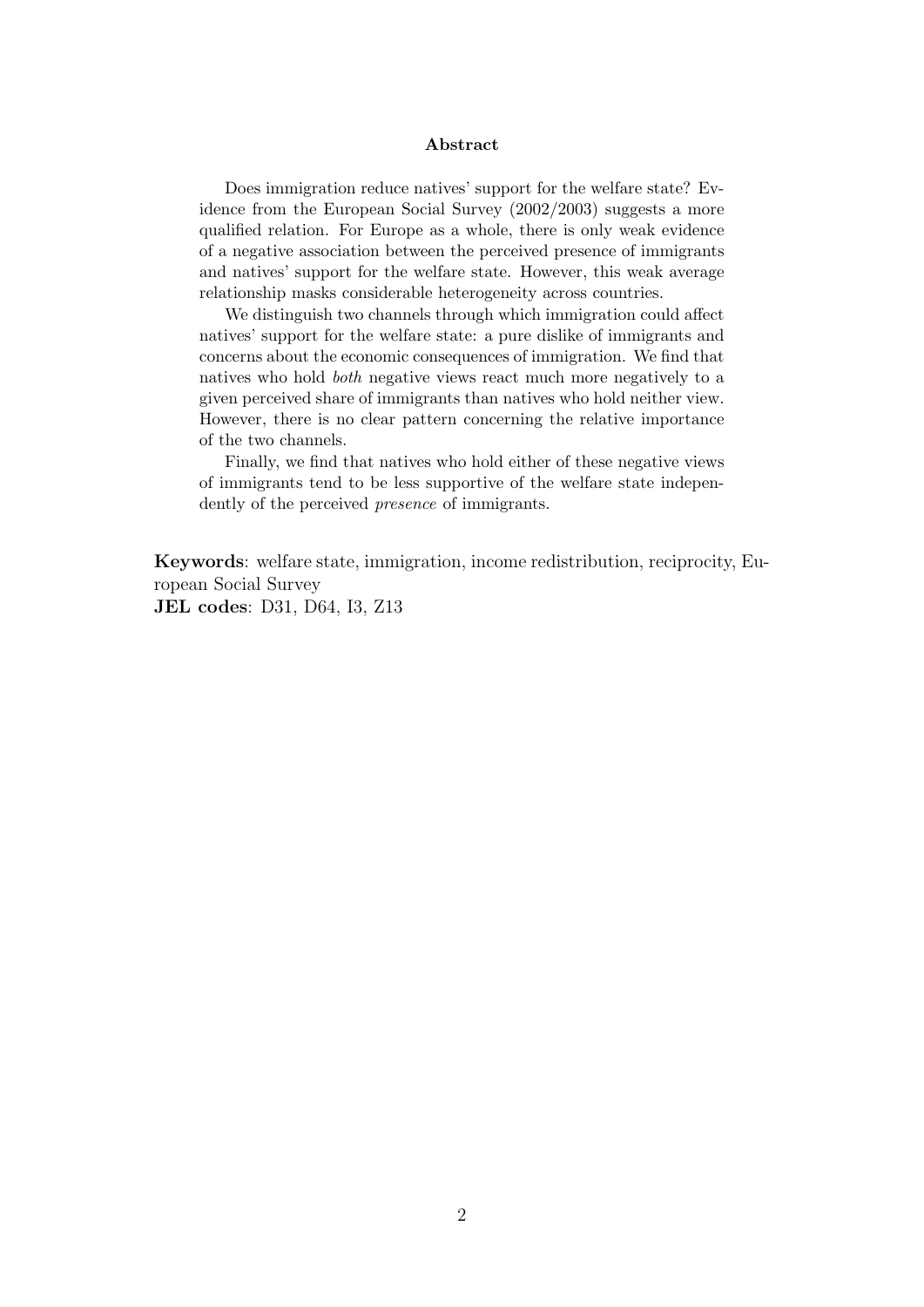#### Abstract

Does immigration reduce natives' support for the welfare state? Evidence from the European Social Survey (2002/2003) suggests a more qualified relation. For Europe as a whole, there is only weak evidence of a negative association between the perceived presence of immigrants and natives' support for the welfare state. However, this weak average relationship masks considerable heterogeneity across countries.

We distinguish two channels through which immigration could affect natives' support for the welfare state: a pure dislike of immigrants and concerns about the economic consequences of immigration. We find that natives who hold both negative views react much more negatively to a given perceived share of immigrants than natives who hold neither view. However, there is no clear pattern concerning the relative importance of the two channels.

Finally, we find that natives who hold either of these negative views of immigrants tend to be less supportive of the welfare state independently of the perceived *presence* of immigrants.

Keywords: welfare state, immigration, income redistribution, reciprocity, European Social Survey JEL codes: D31, D64, I3, Z13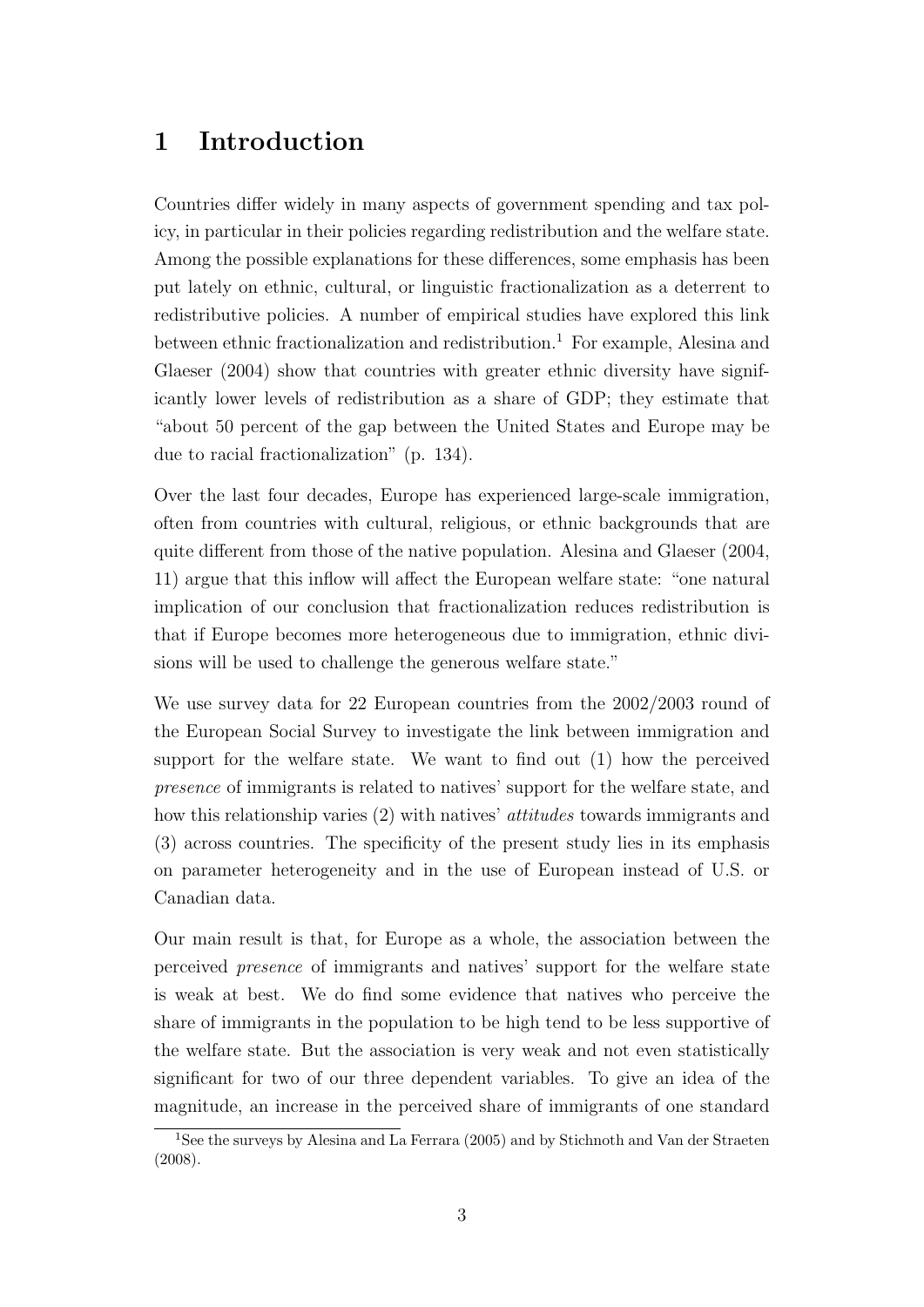# 1 Introduction

Countries differ widely in many aspects of government spending and tax policy, in particular in their policies regarding redistribution and the welfare state. Among the possible explanations for these differences, some emphasis has been put lately on ethnic, cultural, or linguistic fractionalization as a deterrent to redistributive policies. A number of empirical studies have explored this link between ethnic fractionalization and redistribution.<sup>1</sup> For example, Alesina and Glaeser (2004) show that countries with greater ethnic diversity have significantly lower levels of redistribution as a share of GDP; they estimate that "about 50 percent of the gap between the United States and Europe may be due to racial fractionalization" (p. 134).

Over the last four decades, Europe has experienced large-scale immigration, often from countries with cultural, religious, or ethnic backgrounds that are quite different from those of the native population. Alesina and Glaeser (2004, 11) argue that this inflow will affect the European welfare state: "one natural implication of our conclusion that fractionalization reduces redistribution is that if Europe becomes more heterogeneous due to immigration, ethnic divisions will be used to challenge the generous welfare state."

We use survey data for 22 European countries from the 2002/2003 round of the European Social Survey to investigate the link between immigration and support for the welfare state. We want to find out (1) how the perceived presence of immigrants is related to natives' support for the welfare state, and how this relationship varies (2) with natives' *attitudes* towards immigrants and (3) across countries. The specificity of the present study lies in its emphasis on parameter heterogeneity and in the use of European instead of U.S. or Canadian data.

Our main result is that, for Europe as a whole, the association between the perceived presence of immigrants and natives' support for the welfare state is weak at best. We do find some evidence that natives who perceive the share of immigrants in the population to be high tend to be less supportive of the welfare state. But the association is very weak and not even statistically significant for two of our three dependent variables. To give an idea of the magnitude, an increase in the perceived share of immigrants of one standard

<sup>&</sup>lt;sup>1</sup>See the surveys by Alesina and La Ferrara (2005) and by Stichnoth and Van der Straeten (2008).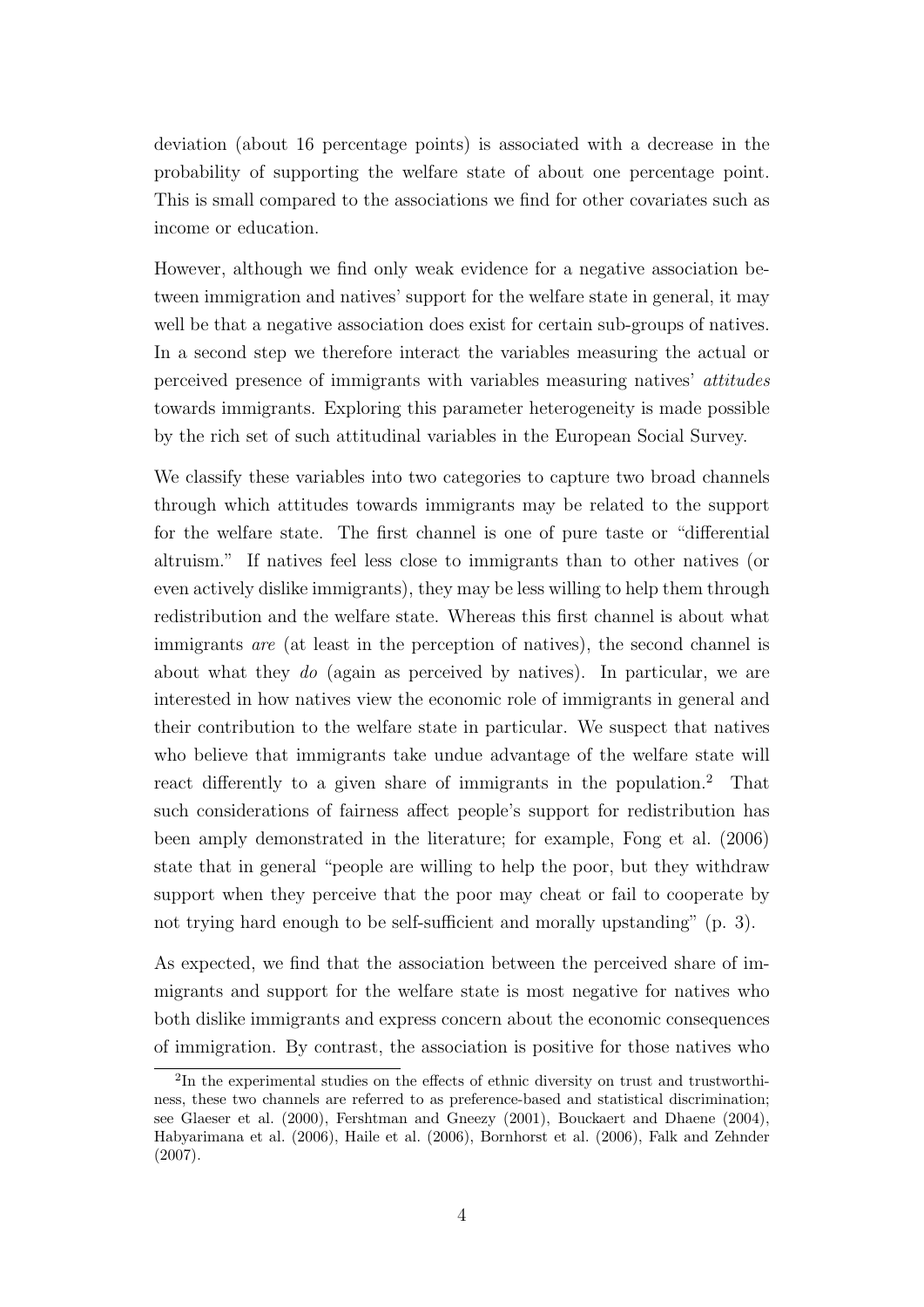deviation (about 16 percentage points) is associated with a decrease in the probability of supporting the welfare state of about one percentage point. This is small compared to the associations we find for other covariates such as income or education.

However, although we find only weak evidence for a negative association between immigration and natives' support for the welfare state in general, it may well be that a negative association does exist for certain sub-groups of natives. In a second step we therefore interact the variables measuring the actual or perceived presence of immigrants with variables measuring natives' attitudes towards immigrants. Exploring this parameter heterogeneity is made possible by the rich set of such attitudinal variables in the European Social Survey.

We classify these variables into two categories to capture two broad channels through which attitudes towards immigrants may be related to the support for the welfare state. The first channel is one of pure taste or "differential altruism." If natives feel less close to immigrants than to other natives (or even actively dislike immigrants), they may be less willing to help them through redistribution and the welfare state. Whereas this first channel is about what immigrants are (at least in the perception of natives), the second channel is about what they do (again as perceived by natives). In particular, we are interested in how natives view the economic role of immigrants in general and their contribution to the welfare state in particular. We suspect that natives who believe that immigrants take undue advantage of the welfare state will react differently to a given share of immigrants in the population.<sup>2</sup> That such considerations of fairness affect people's support for redistribution has been amply demonstrated in the literature; for example, Fong et al. (2006) state that in general "people are willing to help the poor, but they withdraw support when they perceive that the poor may cheat or fail to cooperate by not trying hard enough to be self-sufficient and morally upstanding" (p. 3).

As expected, we find that the association between the perceived share of immigrants and support for the welfare state is most negative for natives who both dislike immigrants and express concern about the economic consequences of immigration. By contrast, the association is positive for those natives who

<sup>&</sup>lt;sup>2</sup>In the experimental studies on the effects of ethnic diversity on trust and trustworthiness, these two channels are referred to as preference-based and statistical discrimination; see Glaeser et al. (2000), Fershtman and Gneezy (2001), Bouckaert and Dhaene (2004), Habyarimana et al. (2006), Haile et al. (2006), Bornhorst et al. (2006), Falk and Zehnder (2007).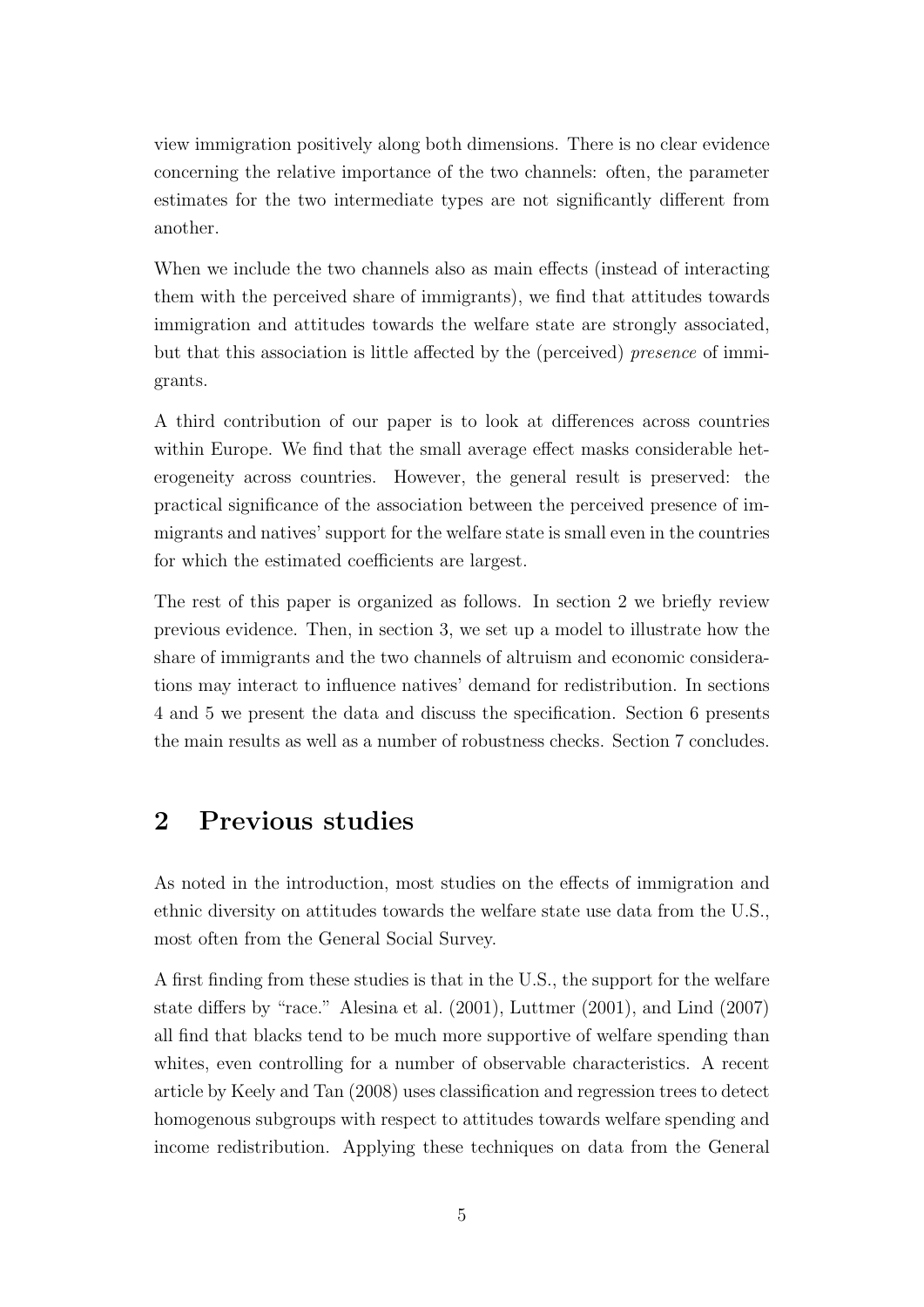view immigration positively along both dimensions. There is no clear evidence concerning the relative importance of the two channels: often, the parameter estimates for the two intermediate types are not significantly different from another.

When we include the two channels also as main effects (instead of interacting them with the perceived share of immigrants), we find that attitudes towards immigration and attitudes towards the welfare state are strongly associated, but that this association is little affected by the (perceived) presence of immigrants.

A third contribution of our paper is to look at differences across countries within Europe. We find that the small average effect masks considerable heterogeneity across countries. However, the general result is preserved: the practical significance of the association between the perceived presence of immigrants and natives' support for the welfare state is small even in the countries for which the estimated coefficients are largest.

The rest of this paper is organized as follows. In section 2 we briefly review previous evidence. Then, in section 3, we set up a model to illustrate how the share of immigrants and the two channels of altruism and economic considerations may interact to influence natives' demand for redistribution. In sections 4 and 5 we present the data and discuss the specification. Section 6 presents the main results as well as a number of robustness checks. Section 7 concludes.

## 2 Previous studies

As noted in the introduction, most studies on the effects of immigration and ethnic diversity on attitudes towards the welfare state use data from the U.S., most often from the General Social Survey.

A first finding from these studies is that in the U.S., the support for the welfare state differs by "race." Alesina et al. (2001), Luttmer (2001), and Lind (2007) all find that blacks tend to be much more supportive of welfare spending than whites, even controlling for a number of observable characteristics. A recent article by Keely and Tan (2008) uses classification and regression trees to detect homogenous subgroups with respect to attitudes towards welfare spending and income redistribution. Applying these techniques on data from the General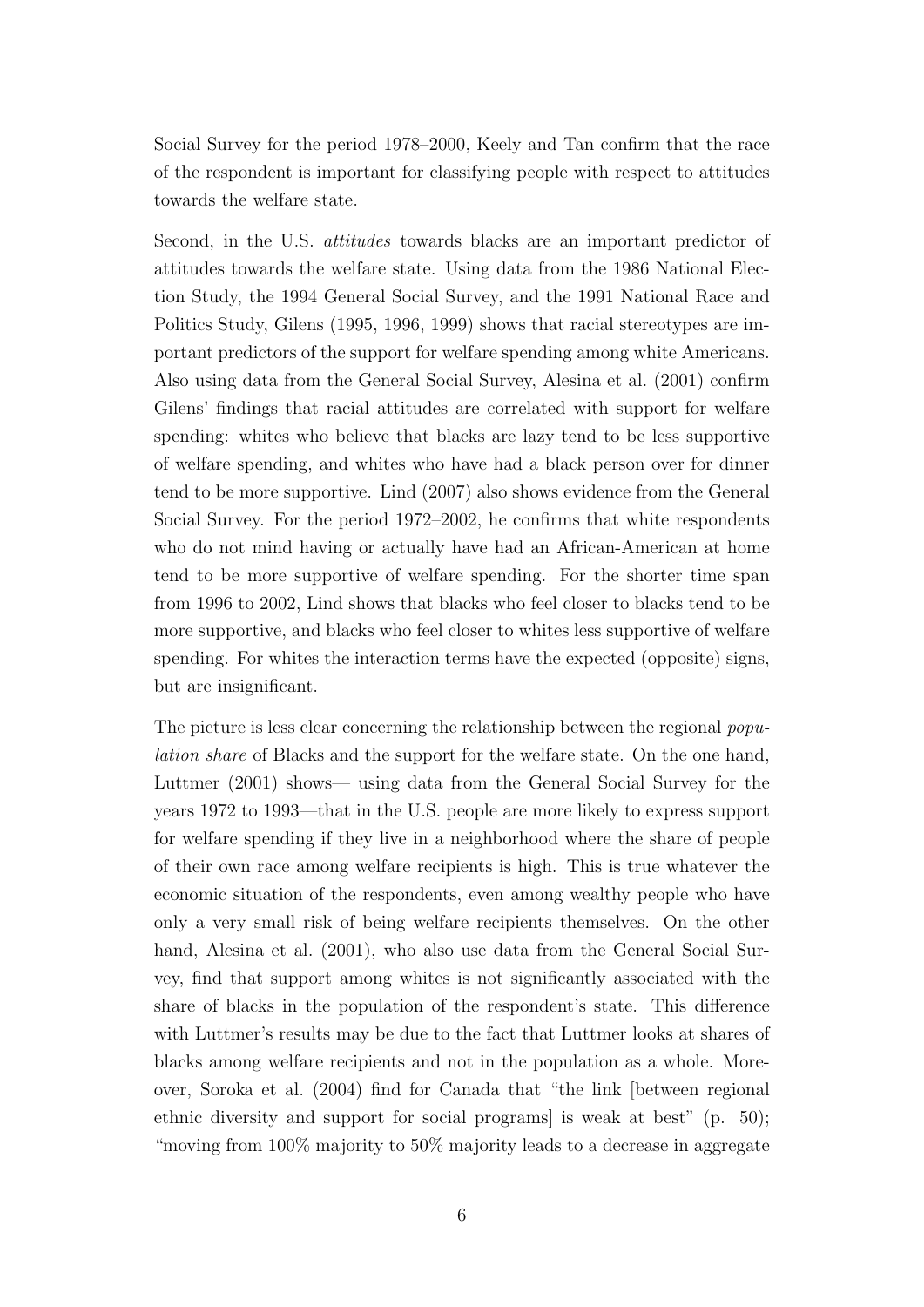Social Survey for the period 1978–2000, Keely and Tan confirm that the race of the respondent is important for classifying people with respect to attitudes towards the welfare state.

Second, in the U.S. attitudes towards blacks are an important predictor of attitudes towards the welfare state. Using data from the 1986 National Election Study, the 1994 General Social Survey, and the 1991 National Race and Politics Study, Gilens (1995, 1996, 1999) shows that racial stereotypes are important predictors of the support for welfare spending among white Americans. Also using data from the General Social Survey, Alesina et al. (2001) confirm Gilens' findings that racial attitudes are correlated with support for welfare spending: whites who believe that blacks are lazy tend to be less supportive of welfare spending, and whites who have had a black person over for dinner tend to be more supportive. Lind (2007) also shows evidence from the General Social Survey. For the period 1972–2002, he confirms that white respondents who do not mind having or actually have had an African-American at home tend to be more supportive of welfare spending. For the shorter time span from 1996 to 2002, Lind shows that blacks who feel closer to blacks tend to be more supportive, and blacks who feel closer to whites less supportive of welfare spending. For whites the interaction terms have the expected (opposite) signs, but are insignificant.

The picture is less clear concerning the relationship between the regional population share of Blacks and the support for the welfare state. On the one hand, Luttmer (2001) shows— using data from the General Social Survey for the years 1972 to 1993—that in the U.S. people are more likely to express support for welfare spending if they live in a neighborhood where the share of people of their own race among welfare recipients is high. This is true whatever the economic situation of the respondents, even among wealthy people who have only a very small risk of being welfare recipients themselves. On the other hand, Alesina et al. (2001), who also use data from the General Social Survey, find that support among whites is not significantly associated with the share of blacks in the population of the respondent's state. This difference with Luttmer's results may be due to the fact that Luttmer looks at shares of blacks among welfare recipients and not in the population as a whole. Moreover, Soroka et al. (2004) find for Canada that "the link [between regional ethnic diversity and support for social programs] is weak at best" (p. 50); "moving from 100% majority to 50% majority leads to a decrease in aggregate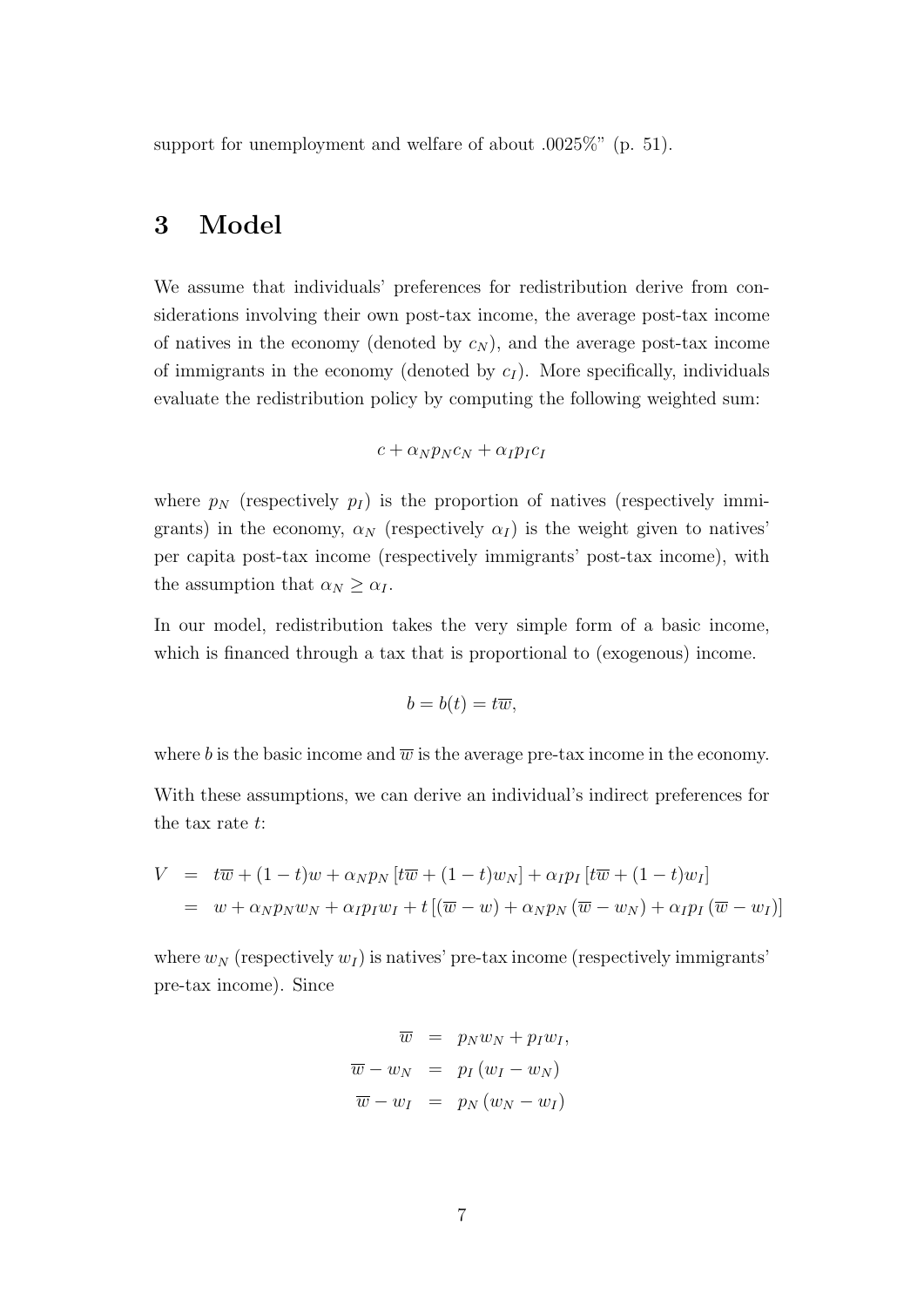support for unemployment and welfare of about .0025%" (p. 51).

# 3 Model

We assume that individuals' preferences for redistribution derive from considerations involving their own post-tax income, the average post-tax income of natives in the economy (denoted by  $c_N$ ), and the average post-tax income of immigrants in the economy (denoted by  $c_I$ ). More specifically, individuals evaluate the redistribution policy by computing the following weighted sum:

$$
c + \alpha_N p_N c_N + \alpha_I p_I c_I
$$

where  $p_N$  (respectively  $p_I$ ) is the proportion of natives (respectively immigrants) in the economy,  $\alpha_N$  (respectively  $\alpha_I$ ) is the weight given to natives' per capita post-tax income (respectively immigrants' post-tax income), with the assumption that  $\alpha_N \geq \alpha_I$ .

In our model, redistribution takes the very simple form of a basic income, which is financed through a tax that is proportional to (exogenous) income.

$$
b = b(t) = t\overline{w},
$$

where b is the basic income and  $\overline{w}$  is the average pre-tax income in the economy.

With these assumptions, we can derive an individual's indirect preferences for the tax rate t:

$$
V = t\overline{w} + (1-t)w + \alpha_N p_N \left[ t\overline{w} + (1-t)w_N \right] + \alpha_I p_I \left[ t\overline{w} + (1-t)w_I \right]
$$
  
= 
$$
w + \alpha_N p_N w_N + \alpha_I p_I w_I + t \left[ (\overline{w} - w) + \alpha_N p_N \left( \overline{w} - w_N \right) + \alpha_I p_I \left( \overline{w} - w_I \right) \right]
$$

where  $w_N$  (respectively  $w_I$ ) is natives' pre-tax income (respectively immigrants' pre-tax income). Since

$$
\overline{w} = p_N w_N + p_I w_I,
$$
  

$$
\overline{w} - w_N = p_I (w_I - w_N)
$$
  

$$
\overline{w} - w_I = p_N (w_N - w_I)
$$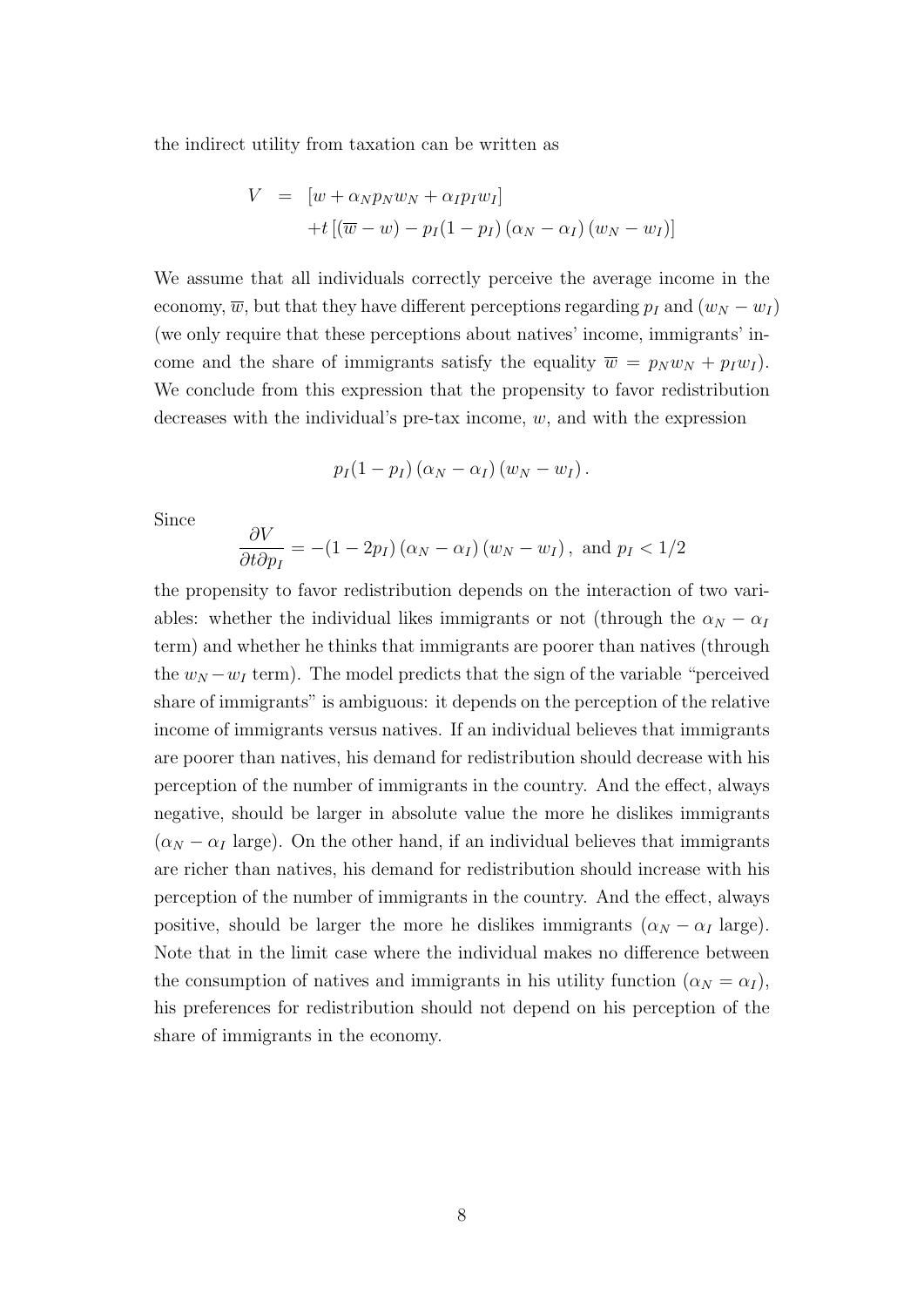the indirect utility from taxation can be written as

$$
V = [w + \alpha_N p_N w_N + \alpha_I p_I w_I]
$$
  
+
$$
t [(\overline{w} - w) - p_I (1 - p_I) (\alpha_N - \alpha_I) (w_N - w_I)]
$$

We assume that all individuals correctly perceive the average income in the economy,  $\overline{w}$ , but that they have different perceptions regarding  $p_I$  and  $(w_N - w_I)$ (we only require that these perceptions about natives' income, immigrants' income and the share of immigrants satisfy the equality  $\overline{w} = p_N w_N + p_I w_I$ . We conclude from this expression that the propensity to favor redistribution decreases with the individual's pre-tax income,  $w$ , and with the expression

$$
p_I(1-p_I)(\alpha_N-\alpha_I)(w_N-w_I).
$$

Since

$$
\frac{\partial V}{\partial t \partial p_I} = -(1 - 2p_I) (\alpha_N - \alpha_I) (w_N - w_I), \text{ and } p_I < 1/2
$$

the propensity to favor redistribution depends on the interaction of two variables: whether the individual likes immigrants or not (through the  $\alpha_N - \alpha_I$ term) and whether he thinks that immigrants are poorer than natives (through the  $w_N - w_I$  term). The model predicts that the sign of the variable "perceived" share of immigrants" is ambiguous: it depends on the perception of the relative income of immigrants versus natives. If an individual believes that immigrants are poorer than natives, his demand for redistribution should decrease with his perception of the number of immigrants in the country. And the effect, always negative, should be larger in absolute value the more he dislikes immigrants  $(\alpha_N - \alpha_I)$  large). On the other hand, if an individual believes that immigrants are richer than natives, his demand for redistribution should increase with his perception of the number of immigrants in the country. And the effect, always positive, should be larger the more he dislikes immigrants  $(\alpha_N - \alpha_I \text{ large}).$ Note that in the limit case where the individual makes no difference between the consumption of natives and immigrants in his utility function  $(\alpha_N = \alpha_I)$ , his preferences for redistribution should not depend on his perception of the share of immigrants in the economy.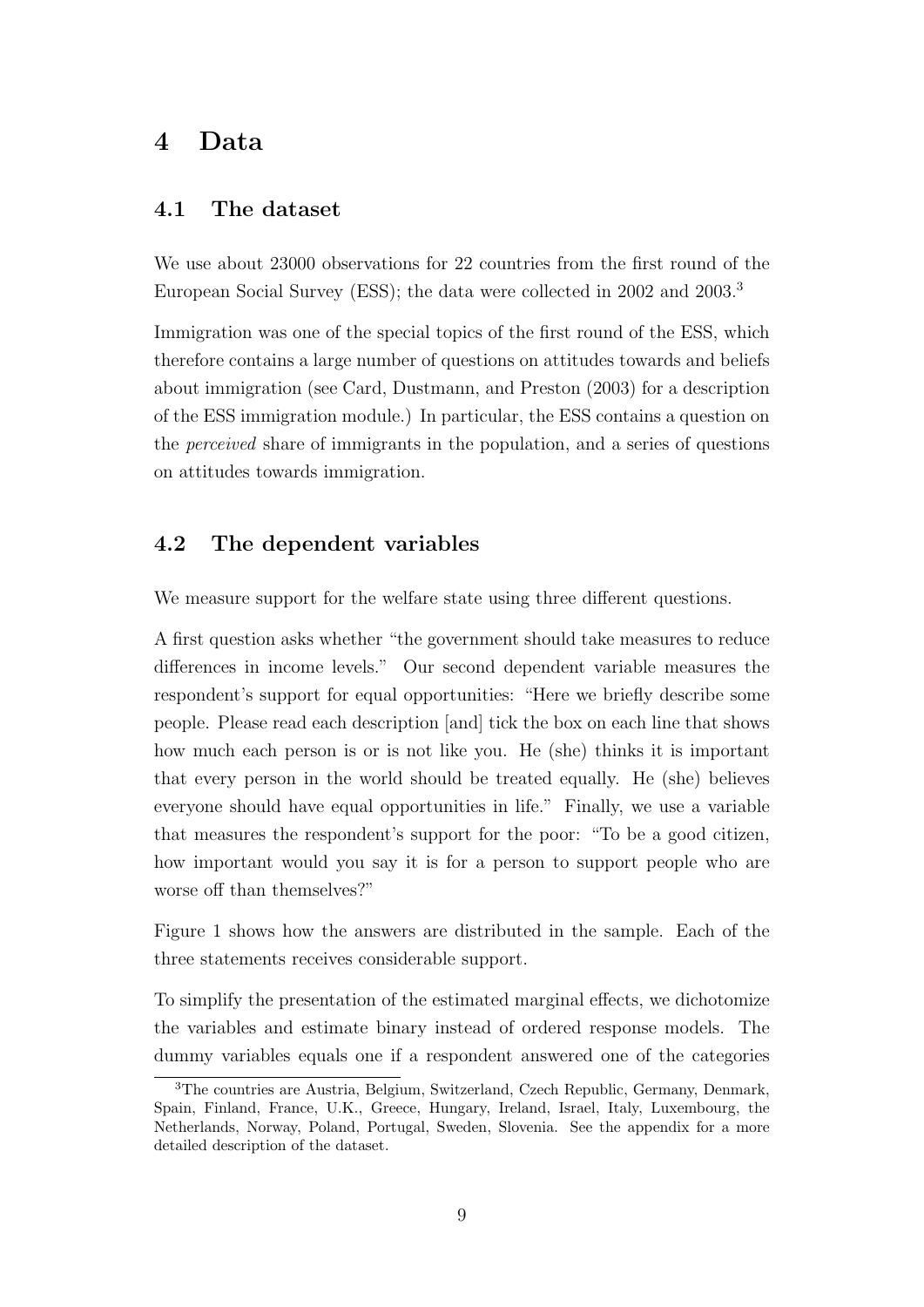## 4 Data

#### 4.1 The dataset

We use about 23000 observations for 22 countries from the first round of the European Social Survey (ESS); the data were collected in 2002 and 2003.<sup>3</sup>

Immigration was one of the special topics of the first round of the ESS, which therefore contains a large number of questions on attitudes towards and beliefs about immigration (see Card, Dustmann, and Preston (2003) for a description of the ESS immigration module.) In particular, the ESS contains a question on the perceived share of immigrants in the population, and a series of questions on attitudes towards immigration.

#### 4.2 The dependent variables

We measure support for the welfare state using three different questions.

A first question asks whether "the government should take measures to reduce differences in income levels." Our second dependent variable measures the respondent's support for equal opportunities: "Here we briefly describe some people. Please read each description [and] tick the box on each line that shows how much each person is or is not like you. He (she) thinks it is important that every person in the world should be treated equally. He (she) believes everyone should have equal opportunities in life." Finally, we use a variable that measures the respondent's support for the poor: "To be a good citizen, how important would you say it is for a person to support people who are worse off than themselves?"

Figure 1 shows how the answers are distributed in the sample. Each of the three statements receives considerable support.

To simplify the presentation of the estimated marginal effects, we dichotomize the variables and estimate binary instead of ordered response models. The dummy variables equals one if a respondent answered one of the categories

<sup>3</sup>The countries are Austria, Belgium, Switzerland, Czech Republic, Germany, Denmark, Spain, Finland, France, U.K., Greece, Hungary, Ireland, Israel, Italy, Luxembourg, the Netherlands, Norway, Poland, Portugal, Sweden, Slovenia. See the appendix for a more detailed description of the dataset.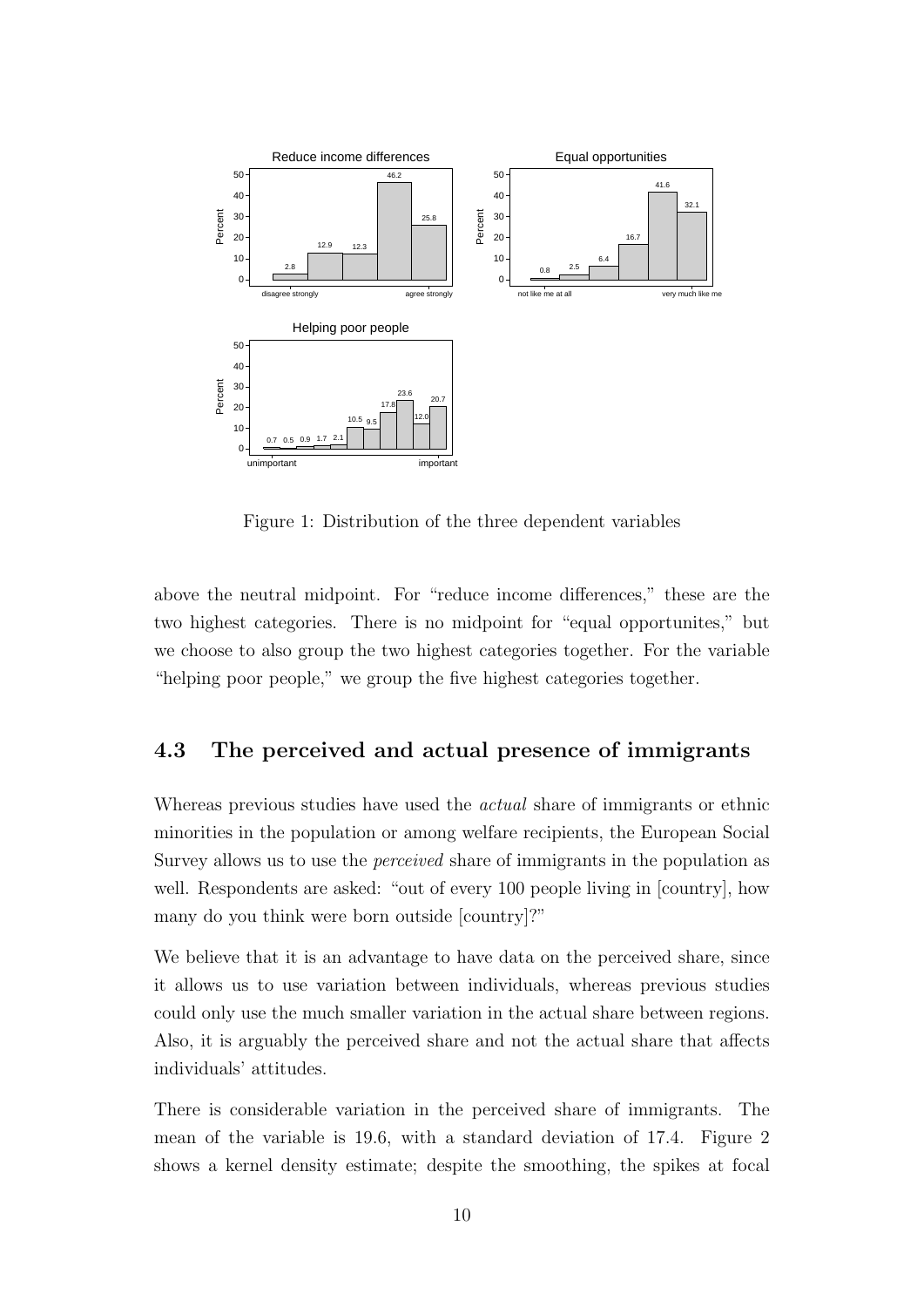

Figure 1: Distribution of the three dependent variables

above the neutral midpoint. For "reduce income differences," these are the two highest categories. There is no midpoint for "equal opportunites," but we choose to also group the two highest categories together. For the variable "helping poor people," we group the five highest categories together.

### 4.3 The perceived and actual presence of immigrants

Whereas previous studies have used the *actual* share of immigrants or ethnic minorities in the population or among welfare recipients, the European Social Survey allows us to use the *perceived* share of immigrants in the population as well. Respondents are asked: "out of every 100 people living in [country], how many do you think were born outside [country]?"

We believe that it is an advantage to have data on the perceived share, since it allows us to use variation between individuals, whereas previous studies could only use the much smaller variation in the actual share between regions. Also, it is arguably the perceived share and not the actual share that affects individuals' attitudes.

There is considerable variation in the perceived share of immigrants. The mean of the variable is 19.6, with a standard deviation of 17.4. Figure 2 shows a kernel density estimate; despite the smoothing, the spikes at focal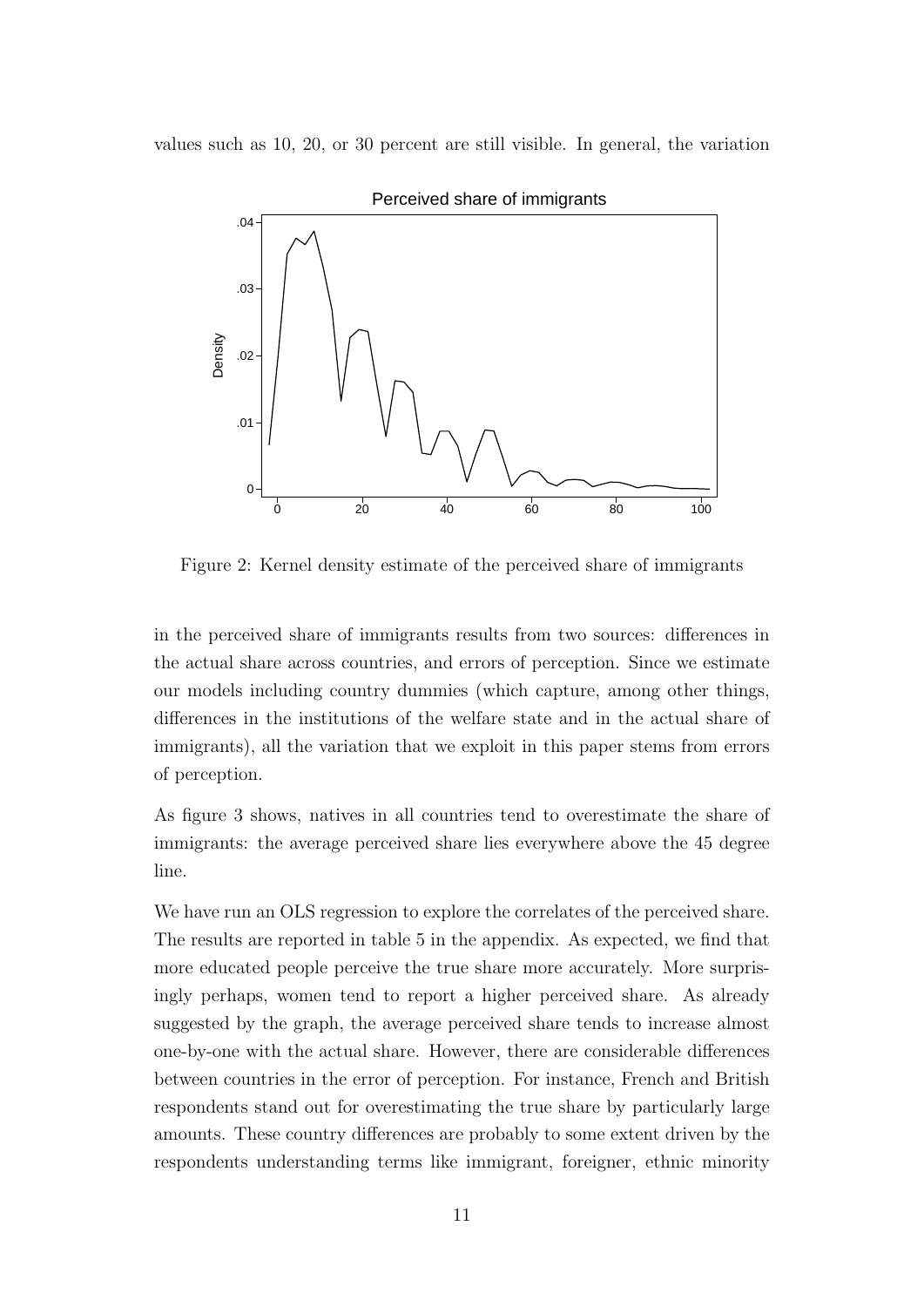values such as 10, 20, or 30 percent are still visible. In general, the variation



Figure 2: Kernel density estimate of the perceived share of immigrants

in the perceived share of immigrants results from two sources: differences in the actual share across countries, and errors of perception. Since we estimate our models including country dummies (which capture, among other things, differences in the institutions of the welfare state and in the actual share of immigrants), all the variation that we exploit in this paper stems from errors of perception.

As figure 3 shows, natives in all countries tend to overestimate the share of immigrants: the average perceived share lies everywhere above the 45 degree line.

We have run an OLS regression to explore the correlates of the perceived share. The results are reported in table 5 in the appendix. As expected, we find that more educated people perceive the true share more accurately. More surprisingly perhaps, women tend to report a higher perceived share. As already suggested by the graph, the average perceived share tends to increase almost one-by-one with the actual share. However, there are considerable differences between countries in the error of perception. For instance, French and British respondents stand out for overestimating the true share by particularly large amounts. These country differences are probably to some extent driven by the respondents understanding terms like immigrant, foreigner, ethnic minority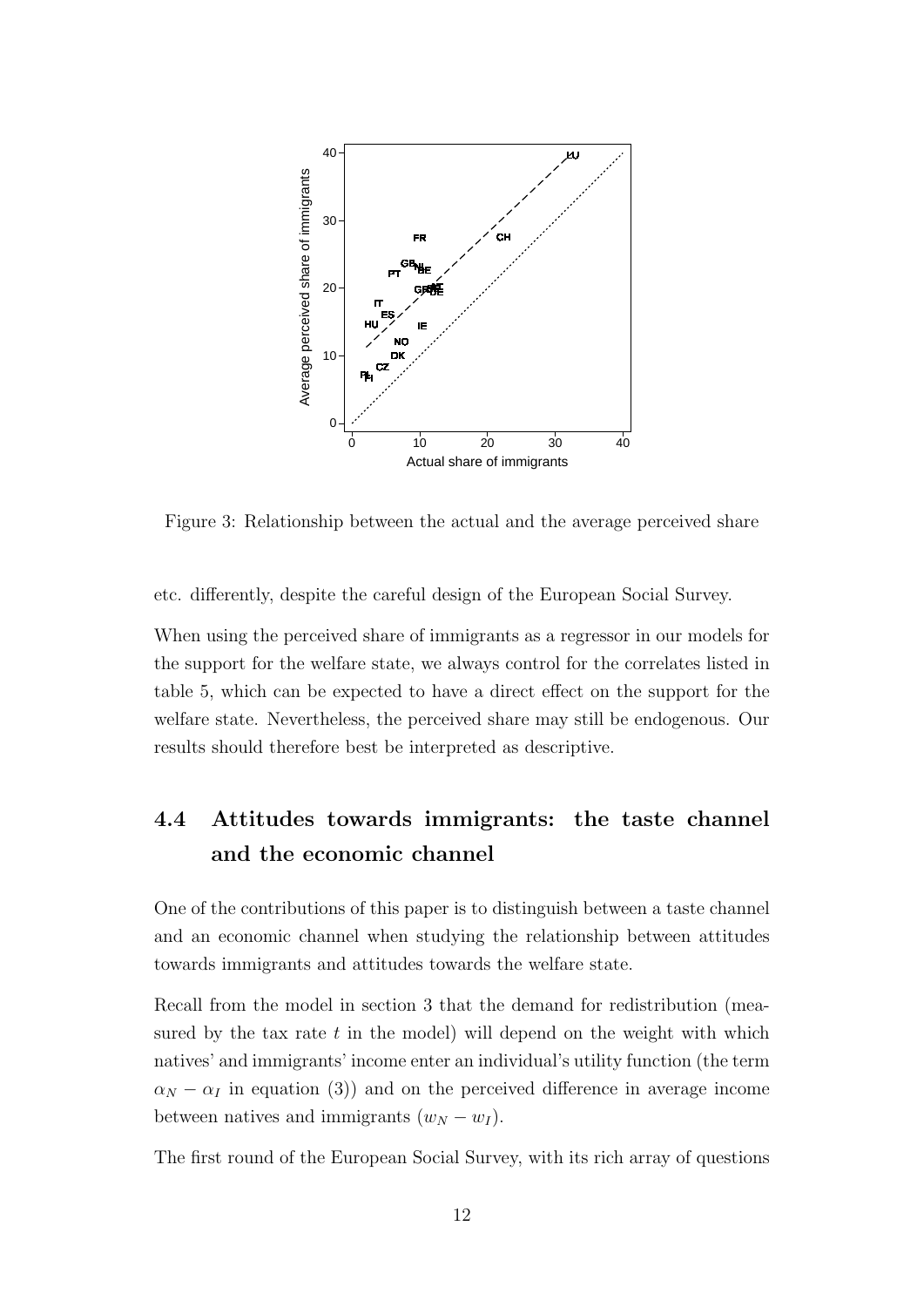

Figure 3: Relationship between the actual and the average perceived share

etc. differently, despite the careful design of the European Social Survey.

When using the perceived share of immigrants as a regressor in our models for the support for the welfare state, we always control for the correlates listed in table 5, which can be expected to have a direct effect on the support for the welfare state. Nevertheless, the perceived share may still be endogenous. Our results should therefore best be interpreted as descriptive.

# 4.4 Attitudes towards immigrants: the taste channel and the economic channel

One of the contributions of this paper is to distinguish between a taste channel and an economic channel when studying the relationship between attitudes towards immigrants and attitudes towards the welfare state.

Recall from the model in section 3 that the demand for redistribution (measured by the tax rate  $t$  in the model) will depend on the weight with which natives' and immigrants' income enter an individual's utility function (the term  $\alpha_N - \alpha_I$  in equation (3)) and on the perceived difference in average income between natives and immigrants  $(w_N - w_I)$ .

The first round of the European Social Survey, with its rich array of questions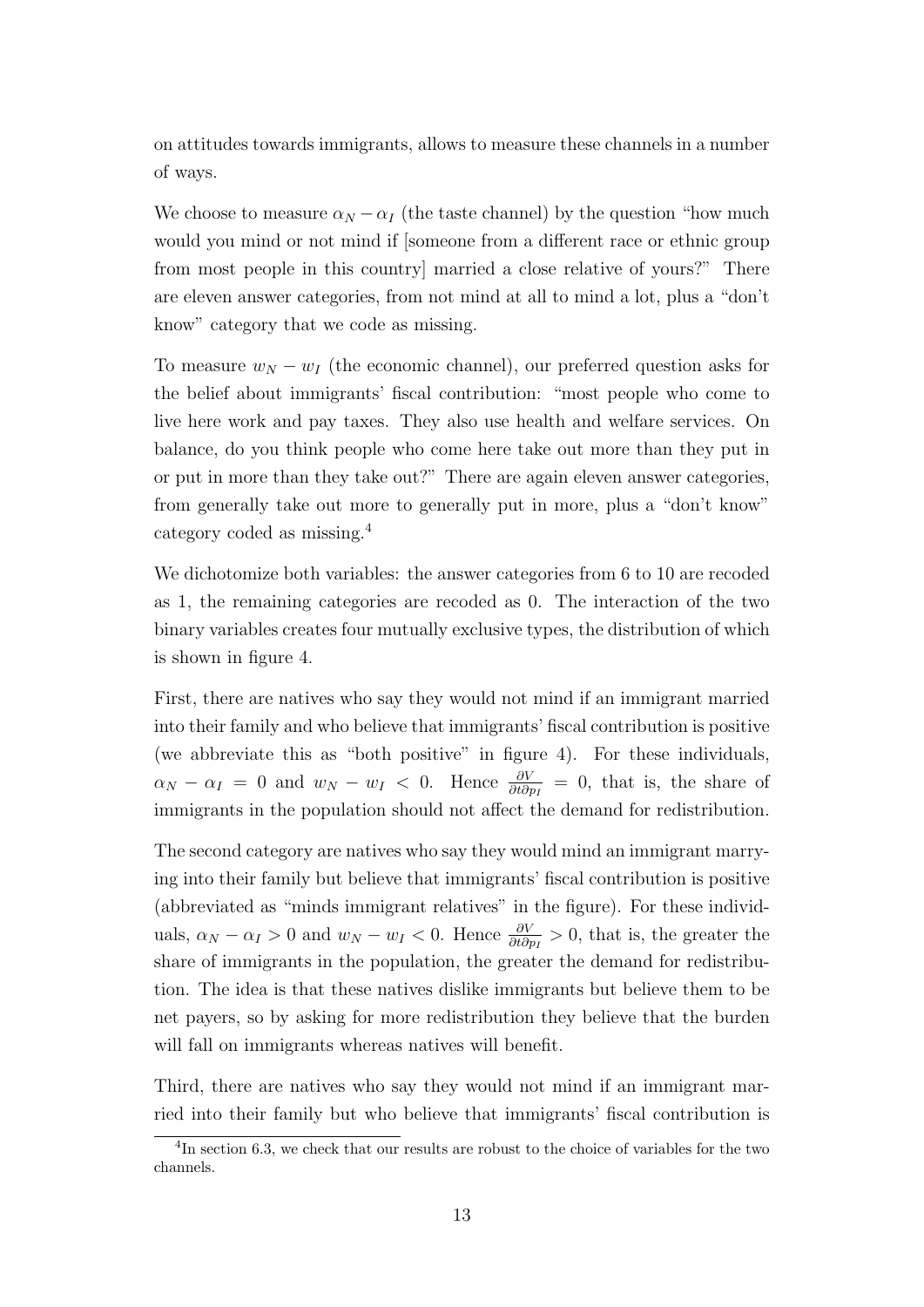on attitudes towards immigrants, allows to measure these channels in a number of ways.

We choose to measure  $\alpha_N - \alpha_I$  (the taste channel) by the question "how much would you mind or not mind if [someone from a different race or ethnic group from most people in this country] married a close relative of yours?" There are eleven answer categories, from not mind at all to mind a lot, plus a "don't know" category that we code as missing.

To measure  $w_N - w_I$  (the economic channel), our preferred question asks for the belief about immigrants' fiscal contribution: "most people who come to live here work and pay taxes. They also use health and welfare services. On balance, do you think people who come here take out more than they put in or put in more than they take out?" There are again eleven answer categories, from generally take out more to generally put in more, plus a "don't know" category coded as missing.<sup>4</sup>

We dichotomize both variables: the answer categories from 6 to 10 are recoded as 1, the remaining categories are recoded as 0. The interaction of the two binary variables creates four mutually exclusive types, the distribution of which is shown in figure 4.

First, there are natives who say they would not mind if an immigrant married into their family and who believe that immigrants' fiscal contribution is positive (we abbreviate this as "both positive" in figure 4). For these individuals,  $\alpha_N - \alpha_I = 0$  and  $w_N - w_I < 0$ . Hence  $\frac{\partial V}{\partial t \partial p_I} = 0$ , that is, the share of immigrants in the population should not affect the demand for redistribution.

The second category are natives who say they would mind an immigrant marrying into their family but believe that immigrants' fiscal contribution is positive (abbreviated as "minds immigrant relatives" in the figure). For these individuals,  $\alpha_N - \alpha_I > 0$  and  $w_N - w_I < 0$ . Hence  $\frac{\partial V}{\partial t \partial p_I} > 0$ , that is, the greater the share of immigrants in the population, the greater the demand for redistribution. The idea is that these natives dislike immigrants but believe them to be net payers, so by asking for more redistribution they believe that the burden will fall on immigrants whereas natives will benefit.

Third, there are natives who say they would not mind if an immigrant married into their family but who believe that immigrants' fiscal contribution is

<sup>&</sup>lt;sup>4</sup>In section 6.3, we check that our results are robust to the choice of variables for the two channels.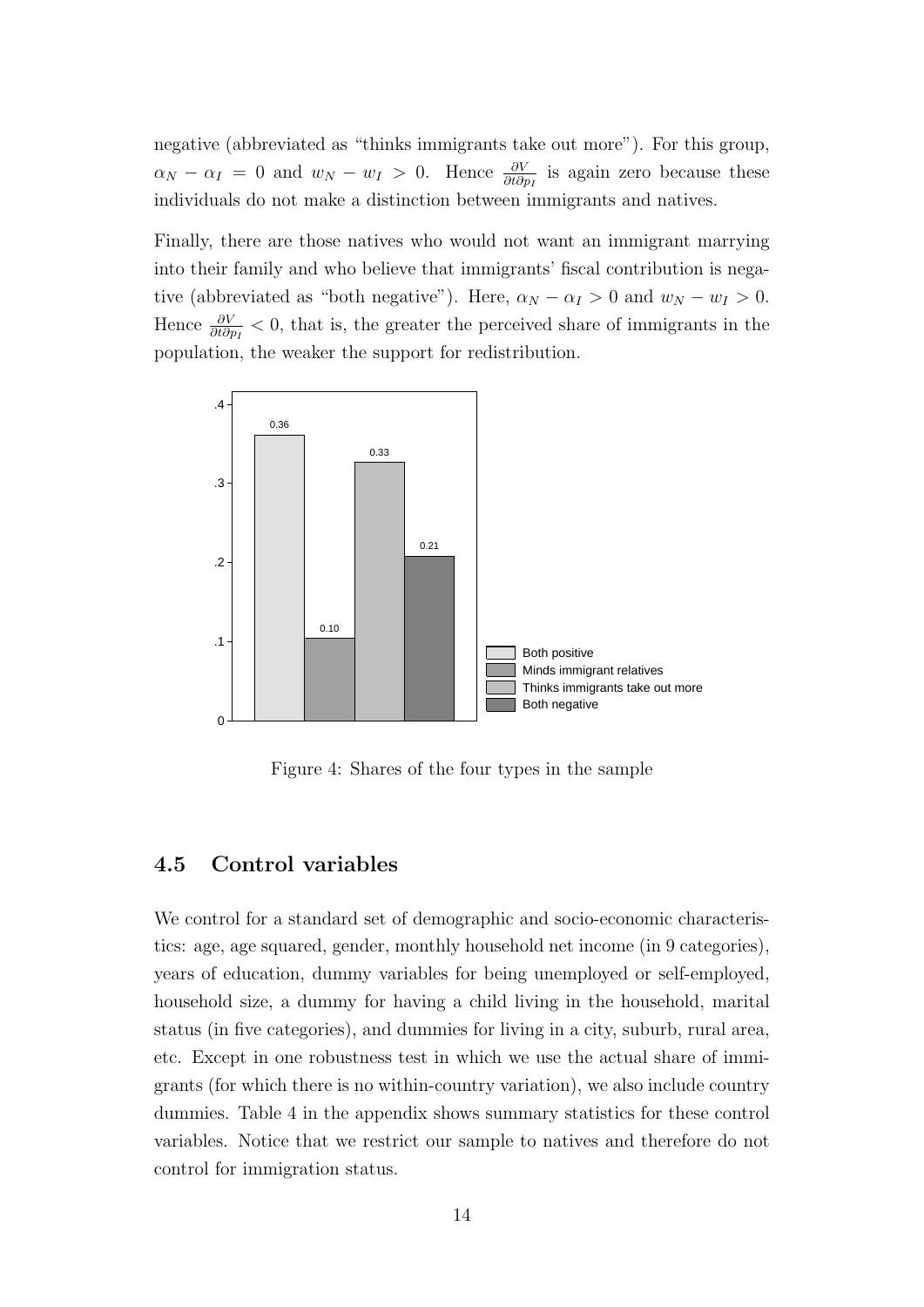negative (abbreviated as "thinks immigrants take out more"). For this group,  $\alpha_N - \alpha_I = 0$  and  $w_N - w_I > 0$ . Hence  $\frac{\partial V}{\partial t \partial p_I}$  is again zero because these individuals do not make a distinction between immigrants and natives.

Finally, there are those natives who would not want an immigrant marrying into their family and who believe that immigrants' fiscal contribution is negative (abbreviated as "both negative"). Here,  $\alpha_N - \alpha_I > 0$  and  $w_N - w_I > 0$ . Hence  $\frac{\partial V}{\partial t \partial p_I}$  < 0, that is, the greater the perceived share of immigrants in the population, the weaker the support for redistribution.



Figure 4: Shares of the four types in the sample

#### 4.5 Control variables

We control for a standard set of demographic and socio-economic characteristics: age, age squared, gender, monthly household net income (in 9 categories), years of education, dummy variables for being unemployed or self-employed, household size, a dummy for having a child living in the household, marital status (in five categories), and dummies for living in a city, suburb, rural area, etc. Except in one robustness test in which we use the actual share of immigrants (for which there is no within-country variation), we also include country dummies. Table 4 in the appendix shows summary statistics for these control variables. Notice that we restrict our sample to natives and therefore do not control for immigration status.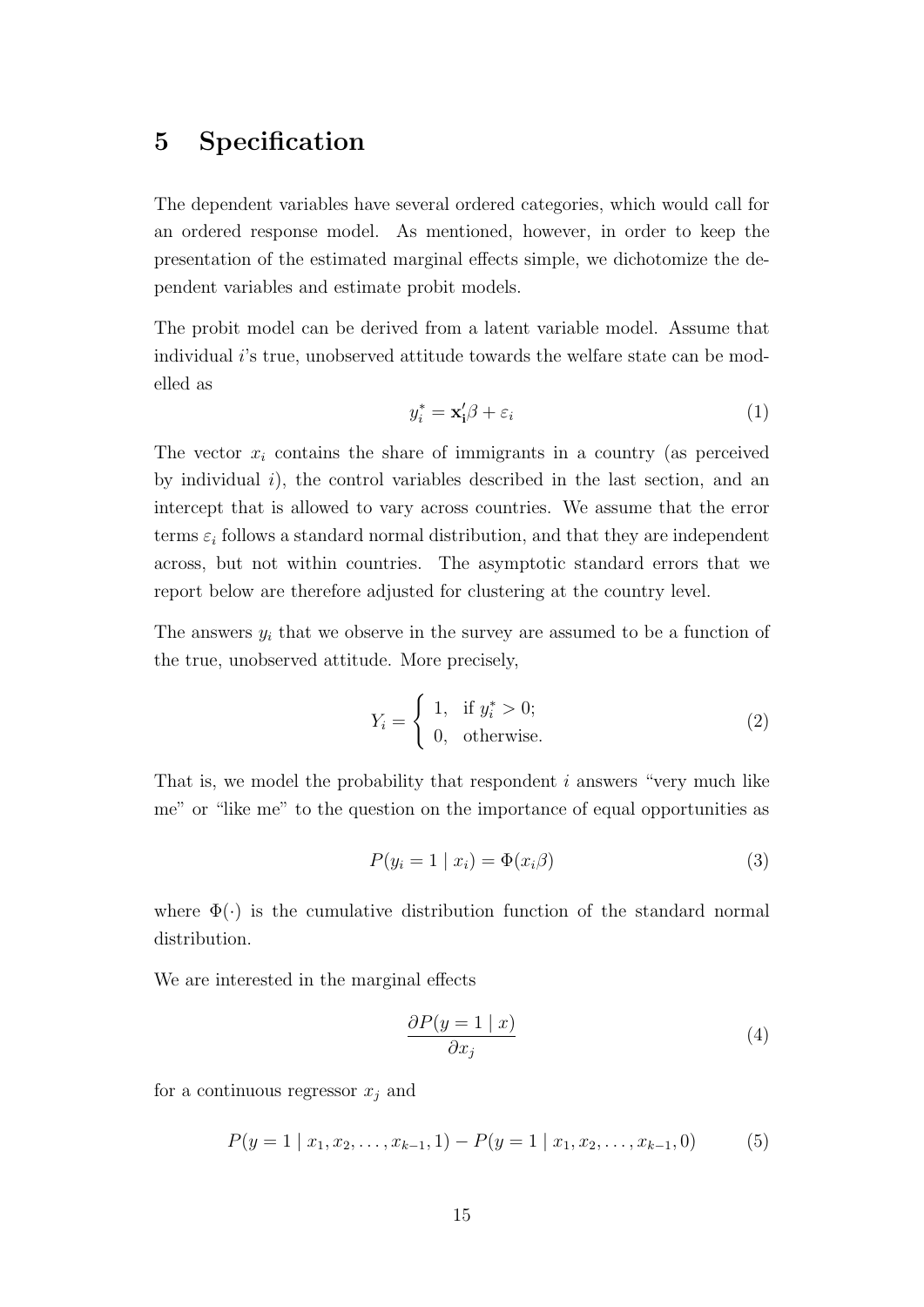## 5 Specification

The dependent variables have several ordered categories, which would call for an ordered response model. As mentioned, however, in order to keep the presentation of the estimated marginal effects simple, we dichotomize the dependent variables and estimate probit models.

The probit model can be derived from a latent variable model. Assume that individual  $i$ 's true, unobserved attitude towards the welfare state can be modelled as

$$
y_i^* = \mathbf{x}_i' \boldsymbol{\beta} + \varepsilon_i \tag{1}
$$

The vector  $x_i$  contains the share of immigrants in a country (as perceived by individual  $i$ ), the control variables described in the last section, and an intercept that is allowed to vary across countries. We assume that the error terms  $\varepsilon_i$  follows a standard normal distribution, and that they are independent across, but not within countries. The asymptotic standard errors that we report below are therefore adjusted for clustering at the country level.

The answers  $y_i$  that we observe in the survey are assumed to be a function of the true, unobserved attitude. More precisely,

$$
Y_i = \begin{cases} 1, & \text{if } y_i^* > 0; \\ 0, & \text{otherwise.} \end{cases}
$$
 (2)

That is, we model the probability that respondent i answers "very much like me" or "like me" to the question on the importance of equal opportunities as

$$
P(y_i = 1 | x_i) = \Phi(x_i \beta) \tag{3}
$$

where  $\Phi(\cdot)$  is the cumulative distribution function of the standard normal distribution.

We are interested in the marginal effects

$$
\frac{\partial P(y=1 \mid x)}{\partial x_j} \tag{4}
$$

for a continuous regressor  $x_j$  and

$$
P(y = 1 | x_1, x_2, \dots, x_{k-1}, 1) - P(y = 1 | x_1, x_2, \dots, x_{k-1}, 0)
$$
 (5)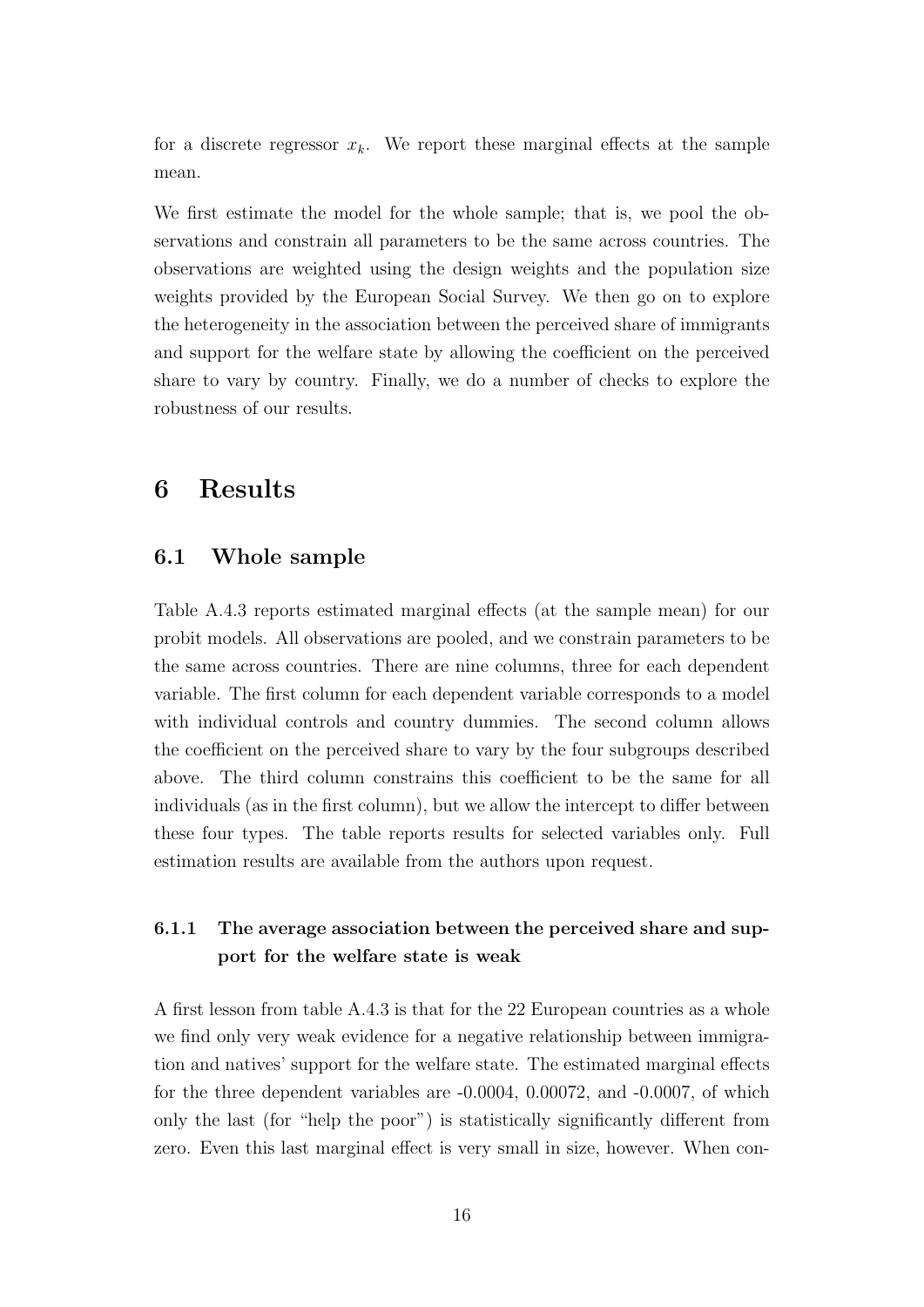for a discrete regressor  $x_k$ . We report these marginal effects at the sample mean.

We first estimate the model for the whole sample; that is, we pool the observations and constrain all parameters to be the same across countries. The observations are weighted using the design weights and the population size weights provided by the European Social Survey. We then go on to explore the heterogeneity in the association between the perceived share of immigrants and support for the welfare state by allowing the coefficient on the perceived share to vary by country. Finally, we do a number of checks to explore the robustness of our results.

## 6 Results

### 6.1 Whole sample

Table A.4.3 reports estimated marginal effects (at the sample mean) for our probit models. All observations are pooled, and we constrain parameters to be the same across countries. There are nine columns, three for each dependent variable. The first column for each dependent variable corresponds to a model with individual controls and country dummies. The second column allows the coefficient on the perceived share to vary by the four subgroups described above. The third column constrains this coefficient to be the same for all individuals (as in the first column), but we allow the intercept to differ between these four types. The table reports results for selected variables only. Full estimation results are available from the authors upon request.

## 6.1.1 The average association between the perceived share and support for the welfare state is weak

A first lesson from table A.4.3 is that for the 22 European countries as a whole we find only very weak evidence for a negative relationship between immigration and natives' support for the welfare state. The estimated marginal effects for the three dependent variables are  $-0.0004$ ,  $0.00072$ , and  $-0.0007$ , of which only the last (for "help the poor") is statistically significantly different from zero. Even this last marginal effect is very small in size, however. When con-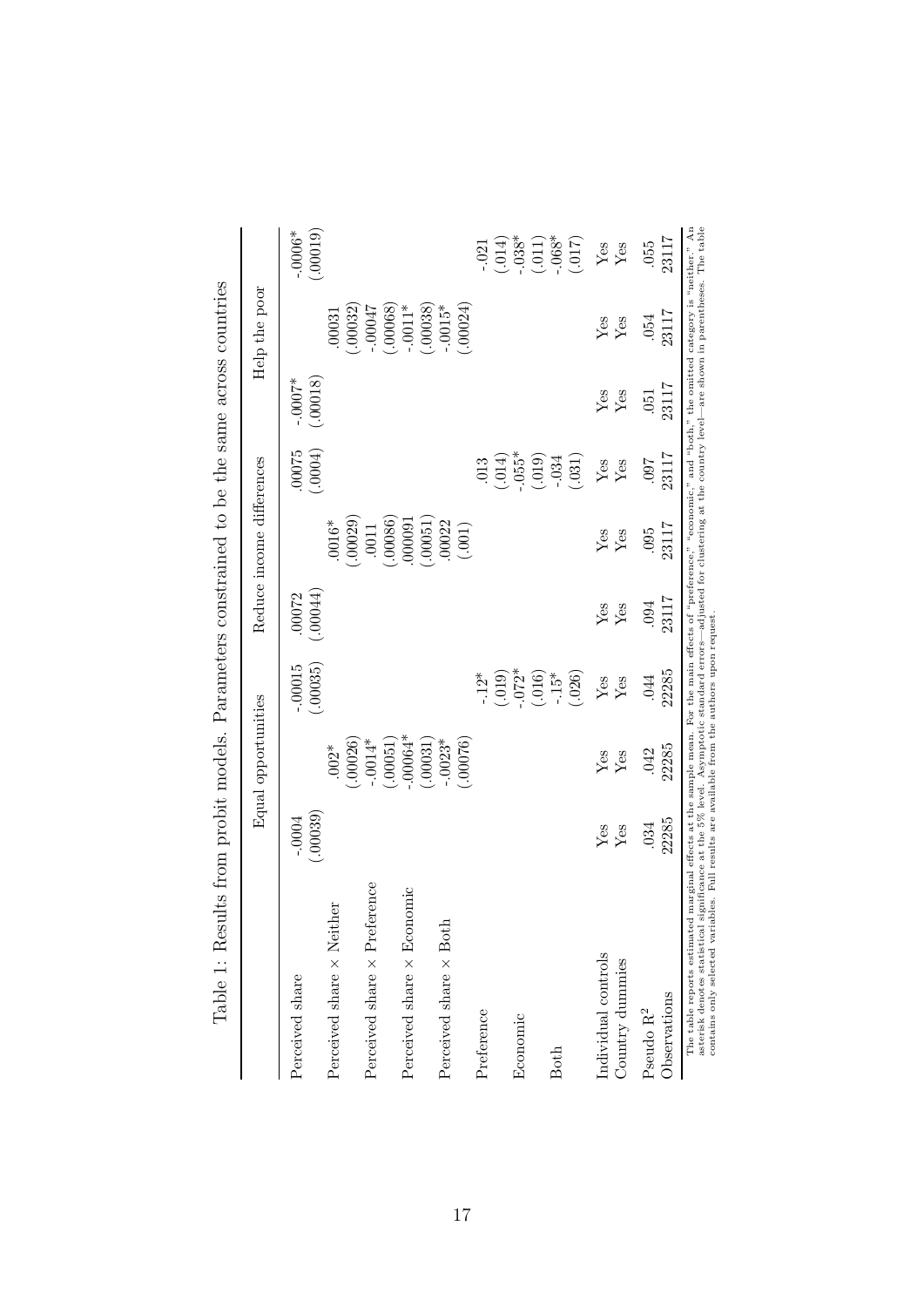|                                                                                                                                                             |                                                                                                                                                                                                                                                                                       | Equal opportunities            |                                          |                        | Reduce income differences        |                             |                       | Help the poor                   |                                                                                        |
|-------------------------------------------------------------------------------------------------------------------------------------------------------------|---------------------------------------------------------------------------------------------------------------------------------------------------------------------------------------------------------------------------------------------------------------------------------------|--------------------------------|------------------------------------------|------------------------|----------------------------------|-----------------------------|-----------------------|---------------------------------|----------------------------------------------------------------------------------------|
| Perceived share                                                                                                                                             | (.00039)<br>$-0004$                                                                                                                                                                                                                                                                   |                                | .00035)<br>$-00015$                      | (55000)<br>.00072      |                                  | (1000, 100)                 | (.00018)<br>$*2000$ - |                                 | (.00019)<br>$-0.0006*$                                                                 |
| Perceived share $\times$ Neither                                                                                                                            |                                                                                                                                                                                                                                                                                       | (.00026)<br>$.002*$            |                                          |                        | (.00029)<br>$0016*$              |                             |                       | (.00032)<br>00031               |                                                                                        |
| Perceived share × Preference                                                                                                                                |                                                                                                                                                                                                                                                                                       | (00051)<br>$-0.0014*$          |                                          |                        | .00086<br>.0011                  |                             |                       | LF000 <sup>-</sup><br>(.00068)  |                                                                                        |
| Perceived share $\times$ Economic                                                                                                                           |                                                                                                                                                                                                                                                                                       | $-00064*$                      |                                          |                        | 000091                           |                             |                       | $-.0011*$                       |                                                                                        |
| Perceived share $\times$ Both                                                                                                                               |                                                                                                                                                                                                                                                                                       | (.00031)<br>.00076<br>$-0023*$ |                                          |                        | $(.00051)$<br>$.00022$<br>(.001) |                             |                       | .00024)<br>$-0015*$<br>(.00038) |                                                                                        |
| Preference                                                                                                                                                  |                                                                                                                                                                                                                                                                                       |                                | $-12*$                                   |                        |                                  | 013                         |                       |                                 | $-0.021$                                                                               |
| Economic                                                                                                                                                    |                                                                                                                                                                                                                                                                                       |                                | $(019)$<br>$(016)$<br>$(016)$<br>$(016)$ |                        |                                  | $(.614)$<br>$-055*$         |                       |                                 |                                                                                        |
| <b>Both</b>                                                                                                                                                 |                                                                                                                                                                                                                                                                                       |                                | (.026)                                   |                        |                                  | (.019)<br>(.031)<br>$-.034$ |                       |                                 | $\begin{array}{c} (110) \\ (+010) \\ (+011) \\ (+011) \\ (+017) \\ (+017) \end{array}$ |
| Individual controls<br>Country dummies                                                                                                                      | $_{\rm Yes}^{\rm X}$                                                                                                                                                                                                                                                                  | Yes<br>Yes                     | $_{\rm Yes}^{\rm X}$                     | $_{\rm Yes}^{\rm Yes}$ | ${\rm Yes}$<br>Yes               | ${\rm Yes}$<br>$Y$ es       | ${\rm Yes}$<br>Yes    | ${\rm Yes}$<br>Yes              | $Y_{CS}$                                                                               |
| Observations<br>Pseudo $\mathbf{R}^2$                                                                                                                       | 22285<br>.034                                                                                                                                                                                                                                                                         | 22285<br>.042                  | 22285<br>.044                            | 23117<br>.094          | 23117<br>095                     | 23117<br><b>160</b>         | 23117<br>051          | 23117<br>.054                   | 23117<br>055                                                                           |
| contains only selected variables. Full results are available from the authors upon request<br>The table reports estimated<br>asterisk denotes statistical s | marginal effects at the sample mean. For the main effects of "preference," "economic," and "both," the omitted category is "neither." An<br>significance at the 5% level. Asymptotic standard errors—adjusted for clustering at the country level—are shown in parentheses. The table |                                |                                          |                        |                                  |                             |                       |                                 |                                                                                        |

Table 1: Results from probit models. Parameters constrained to be the same across countries Table 1: Results from probit models. Parameters constrained to be the same across countries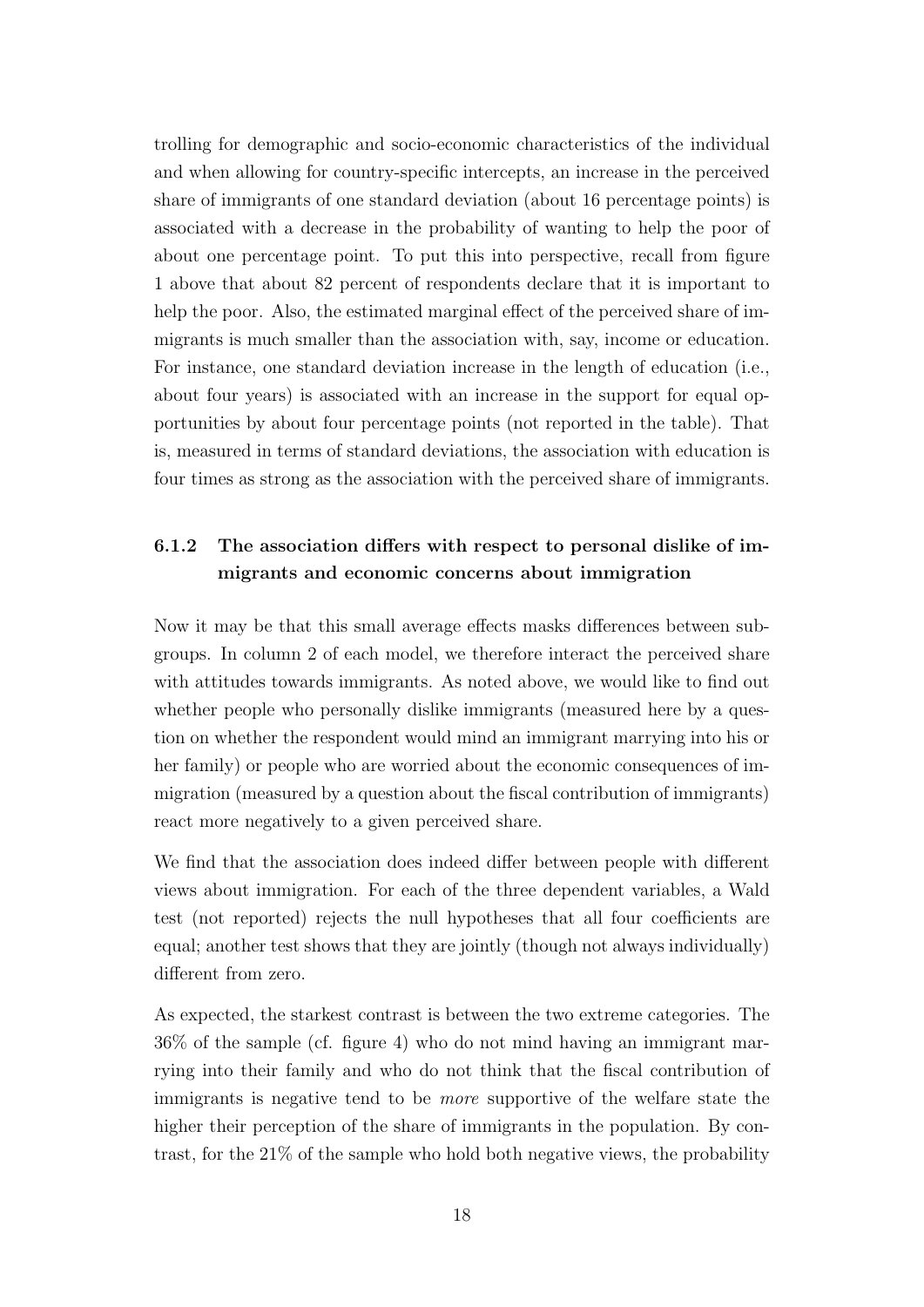trolling for demographic and socio-economic characteristics of the individual and when allowing for country-specific intercepts, an increase in the perceived share of immigrants of one standard deviation (about 16 percentage points) is associated with a decrease in the probability of wanting to help the poor of about one percentage point. To put this into perspective, recall from figure 1 above that about 82 percent of respondents declare that it is important to help the poor. Also, the estimated marginal effect of the perceived share of immigrants is much smaller than the association with, say, income or education. For instance, one standard deviation increase in the length of education (i.e., about four years) is associated with an increase in the support for equal opportunities by about four percentage points (not reported in the table). That is, measured in terms of standard deviations, the association with education is four times as strong as the association with the perceived share of immigrants.

### 6.1.2 The association differs with respect to personal dislike of immigrants and economic concerns about immigration

Now it may be that this small average effects masks differences between subgroups. In column 2 of each model, we therefore interact the perceived share with attitudes towards immigrants. As noted above, we would like to find out whether people who personally dislike immigrants (measured here by a question on whether the respondent would mind an immigrant marrying into his or her family) or people who are worried about the economic consequences of immigration (measured by a question about the fiscal contribution of immigrants) react more negatively to a given perceived share.

We find that the association does indeed differ between people with different views about immigration. For each of the three dependent variables, a Wald test (not reported) rejects the null hypotheses that all four coefficients are equal; another test shows that they are jointly (though not always individually) different from zero.

As expected, the starkest contrast is between the two extreme categories. The 36% of the sample (cf. figure 4) who do not mind having an immigrant marrying into their family and who do not think that the fiscal contribution of immigrants is negative tend to be more supportive of the welfare state the higher their perception of the share of immigrants in the population. By contrast, for the 21% of the sample who hold both negative views, the probability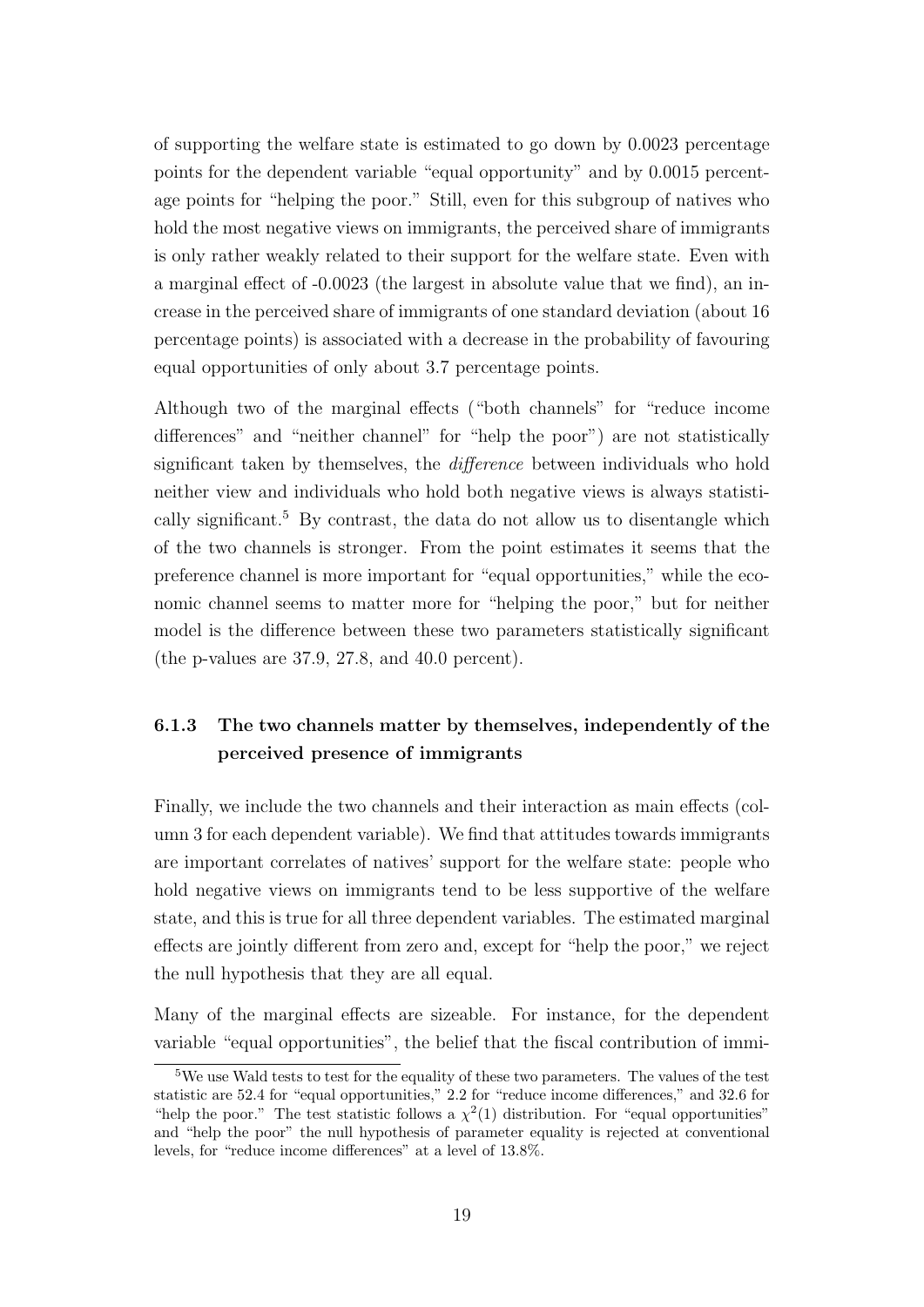of supporting the welfare state is estimated to go down by 0.0023 percentage points for the dependent variable "equal opportunity" and by 0.0015 percentage points for "helping the poor." Still, even for this subgroup of natives who hold the most negative views on immigrants, the perceived share of immigrants is only rather weakly related to their support for the welfare state. Even with a marginal effect of -0.0023 (the largest in absolute value that we find), an increase in the perceived share of immigrants of one standard deviation (about 16 percentage points) is associated with a decrease in the probability of favouring equal opportunities of only about 3.7 percentage points.

Although two of the marginal effects ("both channels" for "reduce income differences" and "neither channel" for "help the poor") are not statistically significant taken by themselves, the difference between individuals who hold neither view and individuals who hold both negative views is always statistically significant.<sup>5</sup> By contrast, the data do not allow us to disentangle which of the two channels is stronger. From the point estimates it seems that the preference channel is more important for "equal opportunities," while the economic channel seems to matter more for "helping the poor," but for neither model is the difference between these two parameters statistically significant (the p-values are 37.9, 27.8, and 40.0 percent).

## 6.1.3 The two channels matter by themselves, independently of the perceived presence of immigrants

Finally, we include the two channels and their interaction as main effects (column 3 for each dependent variable). We find that attitudes towards immigrants are important correlates of natives' support for the welfare state: people who hold negative views on immigrants tend to be less supportive of the welfare state, and this is true for all three dependent variables. The estimated marginal effects are jointly different from zero and, except for "help the poor," we reject the null hypothesis that they are all equal.

Many of the marginal effects are sizeable. For instance, for the dependent variable "equal opportunities", the belief that the fiscal contribution of immi-

<sup>5</sup>We use Wald tests to test for the equality of these two parameters. The values of the test statistic are 52.4 for "equal opportunities," 2.2 for "reduce income differences," and 32.6 for "help the poor." The test statistic follows a  $\chi^2(1)$  distribution. For "equal opportunities" and "help the poor" the null hypothesis of parameter equality is rejected at conventional levels, for "reduce income differences" at a level of 13.8%.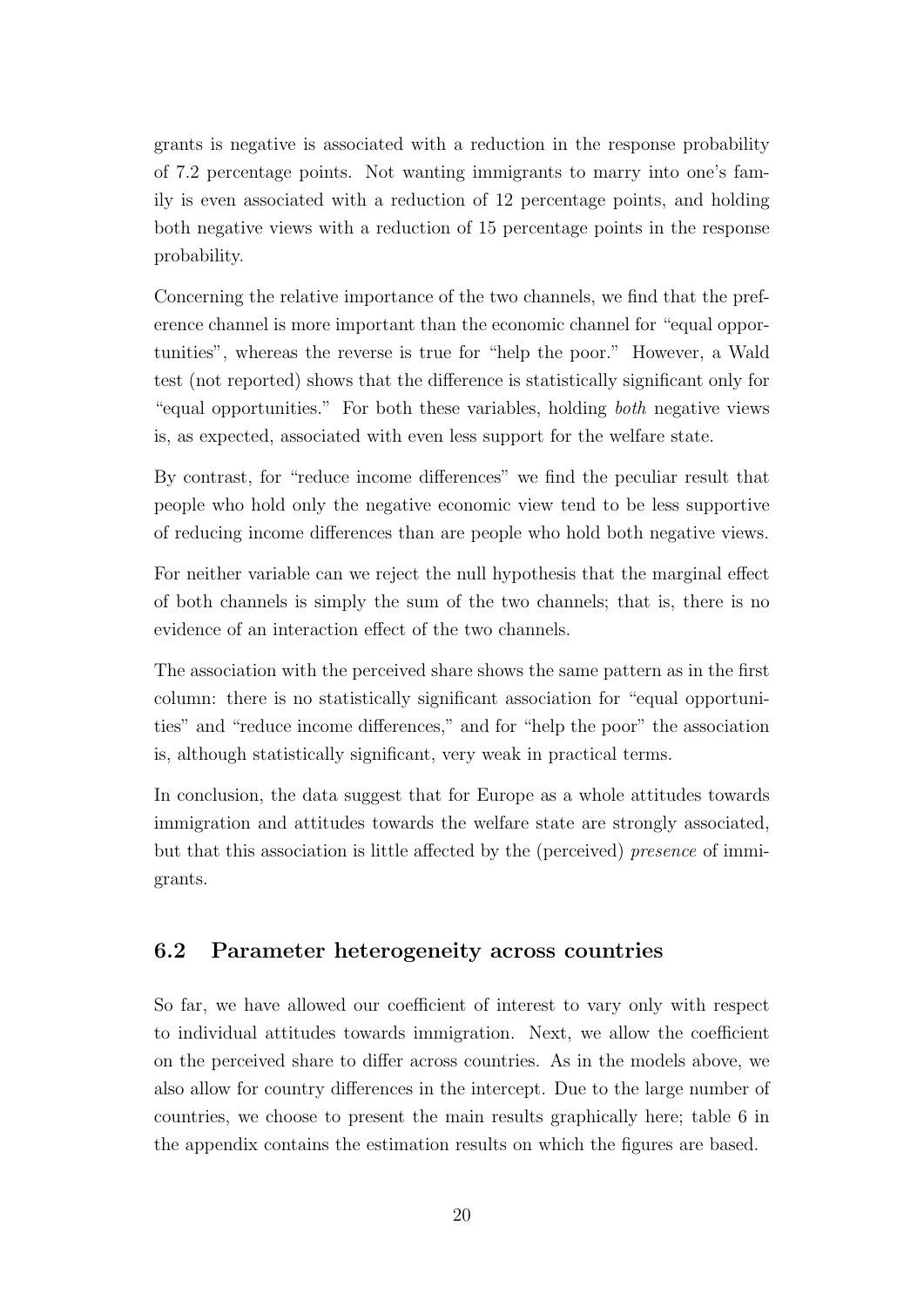grants is negative is associated with a reduction in the response probability of 7.2 percentage points. Not wanting immigrants to marry into one's family is even associated with a reduction of 12 percentage points, and holding both negative views with a reduction of 15 percentage points in the response probability.

Concerning the relative importance of the two channels, we find that the preference channel is more important than the economic channel for "equal opportunities", whereas the reverse is true for "help the poor." However, a Wald test (not reported) shows that the difference is statistically significant only for "equal opportunities." For both these variables, holding both negative views is, as expected, associated with even less support for the welfare state.

By contrast, for "reduce income differences" we find the peculiar result that people who hold only the negative economic view tend to be less supportive of reducing income differences than are people who hold both negative views.

For neither variable can we reject the null hypothesis that the marginal effect of both channels is simply the sum of the two channels; that is, there is no evidence of an interaction effect of the two channels.

The association with the perceived share shows the same pattern as in the first column: there is no statistically significant association for "equal opportunities" and "reduce income differences," and for "help the poor" the association is, although statistically significant, very weak in practical terms.

In conclusion, the data suggest that for Europe as a whole attitudes towards immigration and attitudes towards the welfare state are strongly associated, but that this association is little affected by the (perceived) presence of immigrants.

### 6.2 Parameter heterogeneity across countries

So far, we have allowed our coefficient of interest to vary only with respect to individual attitudes towards immigration. Next, we allow the coefficient on the perceived share to differ across countries. As in the models above, we also allow for country differences in the intercept. Due to the large number of countries, we choose to present the main results graphically here; table 6 in the appendix contains the estimation results on which the figures are based.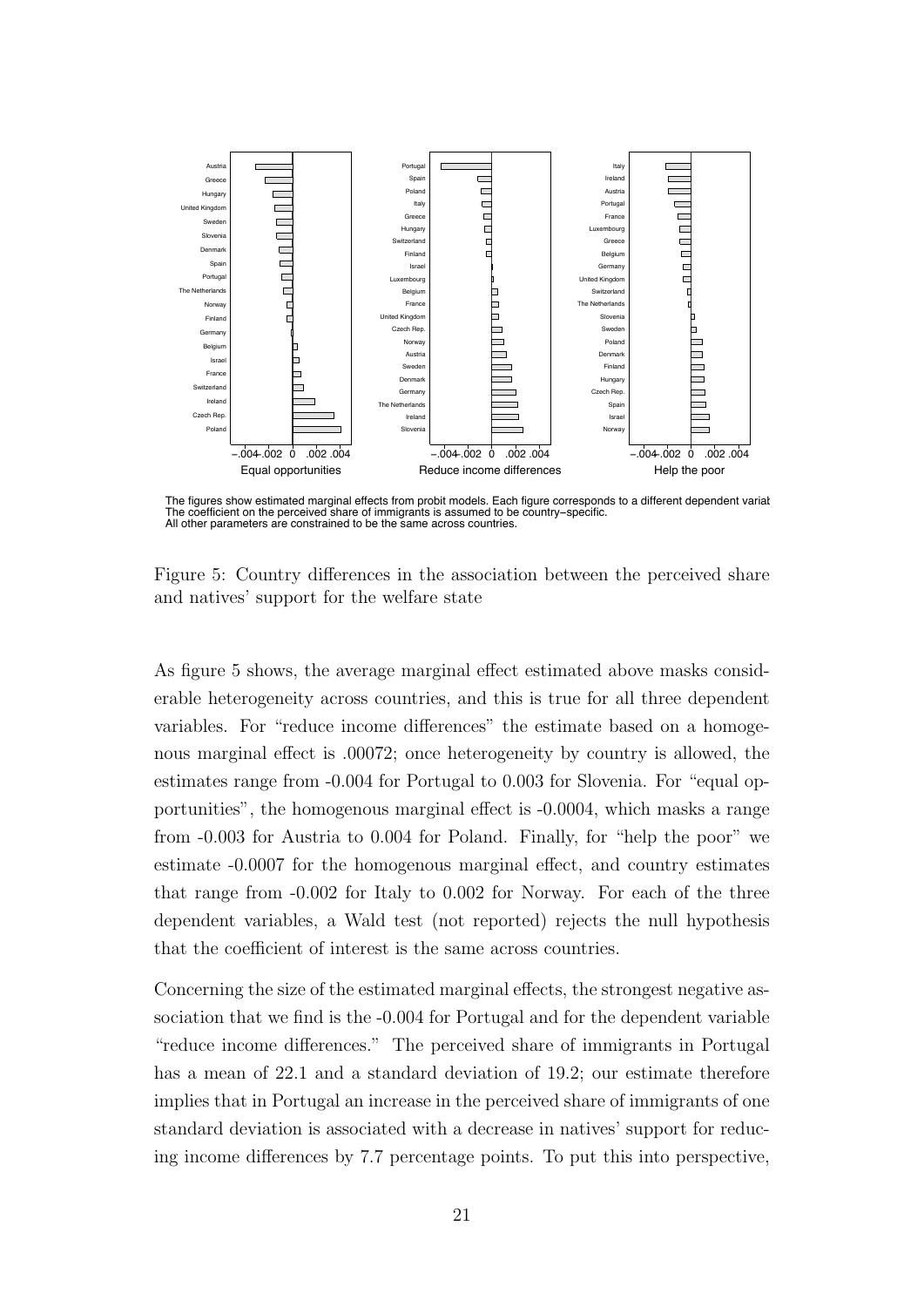

The figures show estimated marginal effects from probit models. Each figure corresponds to a different dependent variat The coefficient on the perceived share of immigrants is assumed to be country−specific. All other parameters are constrained to be the same across countries.

Figure 5: Country differences in the association between the perceived share and natives' support for the welfare state

As figure 5 shows, the average marginal effect estimated above masks considerable heterogeneity across countries, and this is true for all three dependent variables. For "reduce income differences" the estimate based on a homogenous marginal effect is .00072; once heterogeneity by country is allowed, the estimates range from -0.004 for Portugal to 0.003 for Slovenia. For "equal opportunities", the homogenous marginal effect is -0.0004, which masks a range from -0.003 for Austria to 0.004 for Poland. Finally, for "help the poor" we estimate -0.0007 for the homogenous marginal effect, and country estimates that range from -0.002 for Italy to 0.002 for Norway. For each of the three dependent variables, a Wald test (not reported) rejects the null hypothesis that the coefficient of interest is the same across countries.

Concerning the size of the estimated marginal effects, the strongest negative association that we find is the -0.004 for Portugal and for the dependent variable "reduce income differences." The perceived share of immigrants in Portugal has a mean of 22.1 and a standard deviation of 19.2; our estimate therefore implies that in Portugal an increase in the perceived share of immigrants of one standard deviation is associated with a decrease in natives' support for reducing income differences by 7.7 percentage points. To put this into perspective,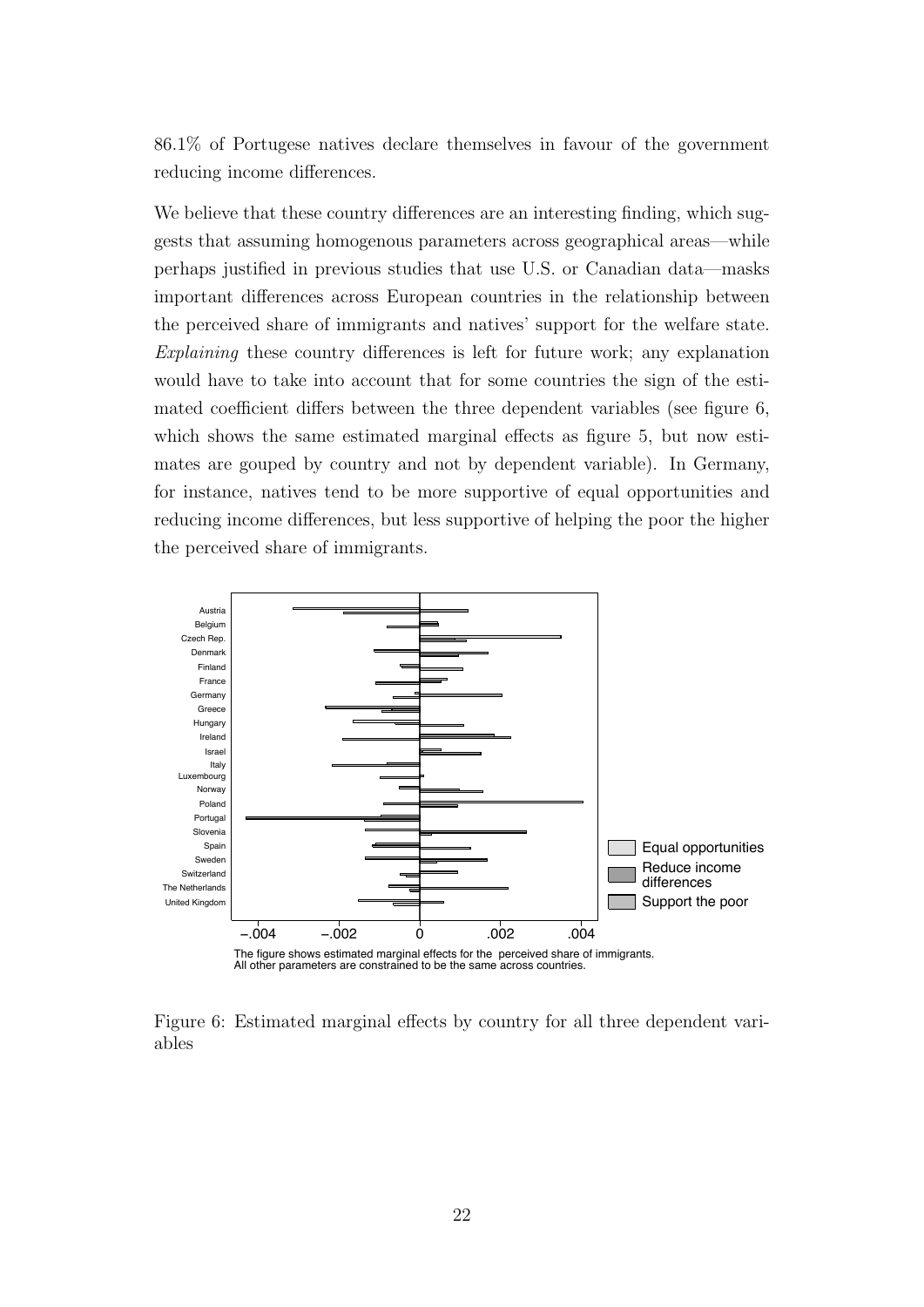86.1% of Portugese natives declare themselves in favour of the government reducing income differences.

We believe that these country differences are an interesting finding, which suggests that assuming homogenous parameters across geographical areas—while perhaps justified in previous studies that use U.S. or Canadian data—masks important differences across European countries in the relationship between the perceived share of immigrants and natives' support for the welfare state. Explaining these country differences is left for future work; any explanation would have to take into account that for some countries the sign of the estimated coefficient differs between the three dependent variables (see figure 6, which shows the same estimated marginal effects as figure 5, but now estimates are gouped by country and not by dependent variable). In Germany, for instance, natives tend to be more supportive of equal opportunities and reducing income differences, but less supportive of helping the poor the higher the perceived share of immigrants.



Figure 6: Estimated marginal effects by country for all three dependent variables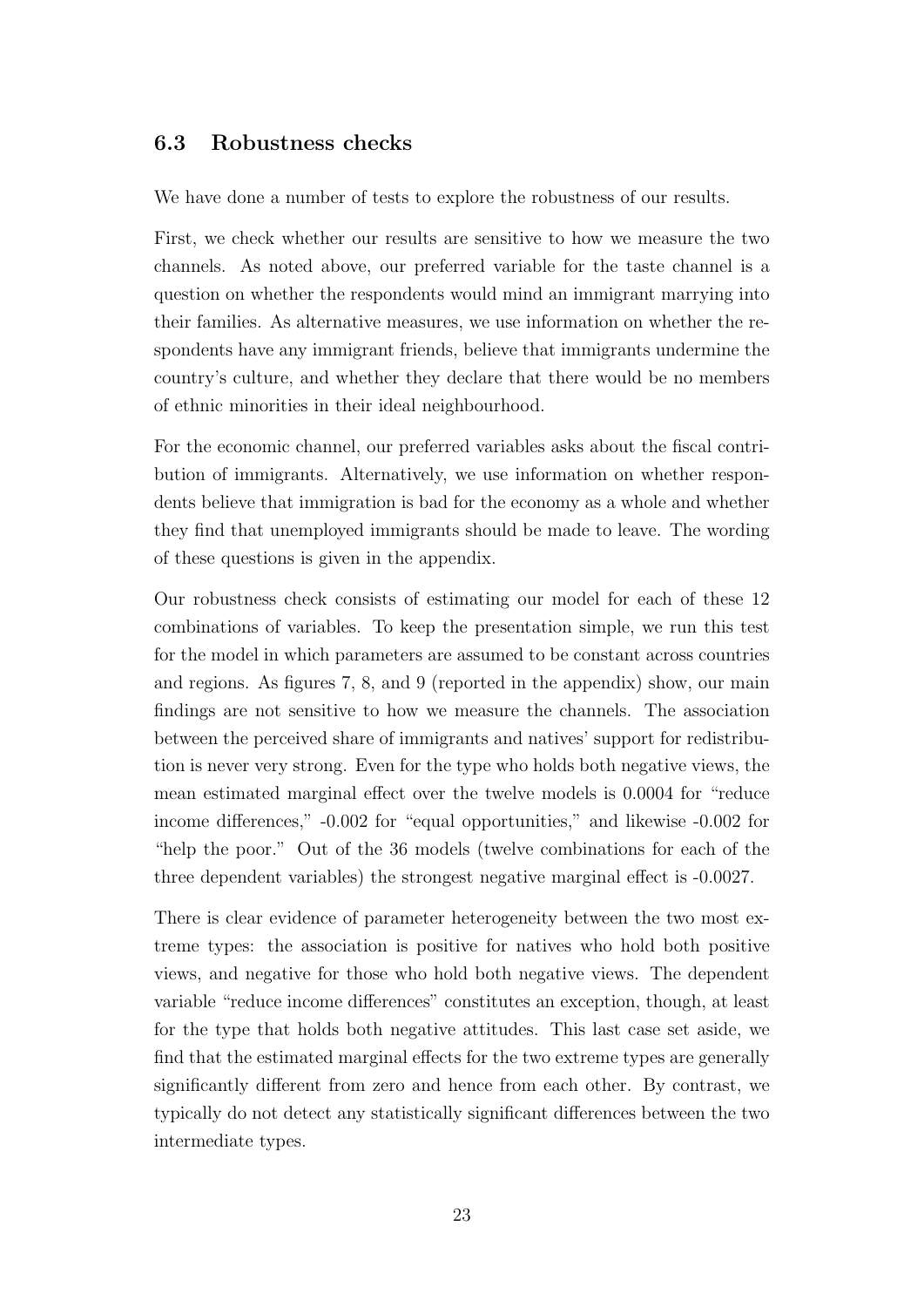#### 6.3 Robustness checks

We have done a number of tests to explore the robustness of our results.

First, we check whether our results are sensitive to how we measure the two channels. As noted above, our preferred variable for the taste channel is a question on whether the respondents would mind an immigrant marrying into their families. As alternative measures, we use information on whether the respondents have any immigrant friends, believe that immigrants undermine the country's culture, and whether they declare that there would be no members of ethnic minorities in their ideal neighbourhood.

For the economic channel, our preferred variables asks about the fiscal contribution of immigrants. Alternatively, we use information on whether respondents believe that immigration is bad for the economy as a whole and whether they find that unemployed immigrants should be made to leave. The wording of these questions is given in the appendix.

Our robustness check consists of estimating our model for each of these 12 combinations of variables. To keep the presentation simple, we run this test for the model in which parameters are assumed to be constant across countries and regions. As figures 7, 8, and 9 (reported in the appendix) show, our main findings are not sensitive to how we measure the channels. The association between the perceived share of immigrants and natives' support for redistribution is never very strong. Even for the type who holds both negative views, the mean estimated marginal effect over the twelve models is 0.0004 for "reduce income differences," -0.002 for "equal opportunities," and likewise -0.002 for "help the poor." Out of the 36 models (twelve combinations for each of the three dependent variables) the strongest negative marginal effect is -0.0027.

There is clear evidence of parameter heterogeneity between the two most extreme types: the association is positive for natives who hold both positive views, and negative for those who hold both negative views. The dependent variable "reduce income differences" constitutes an exception, though, at least for the type that holds both negative attitudes. This last case set aside, we find that the estimated marginal effects for the two extreme types are generally significantly different from zero and hence from each other. By contrast, we typically do not detect any statistically significant differences between the two intermediate types.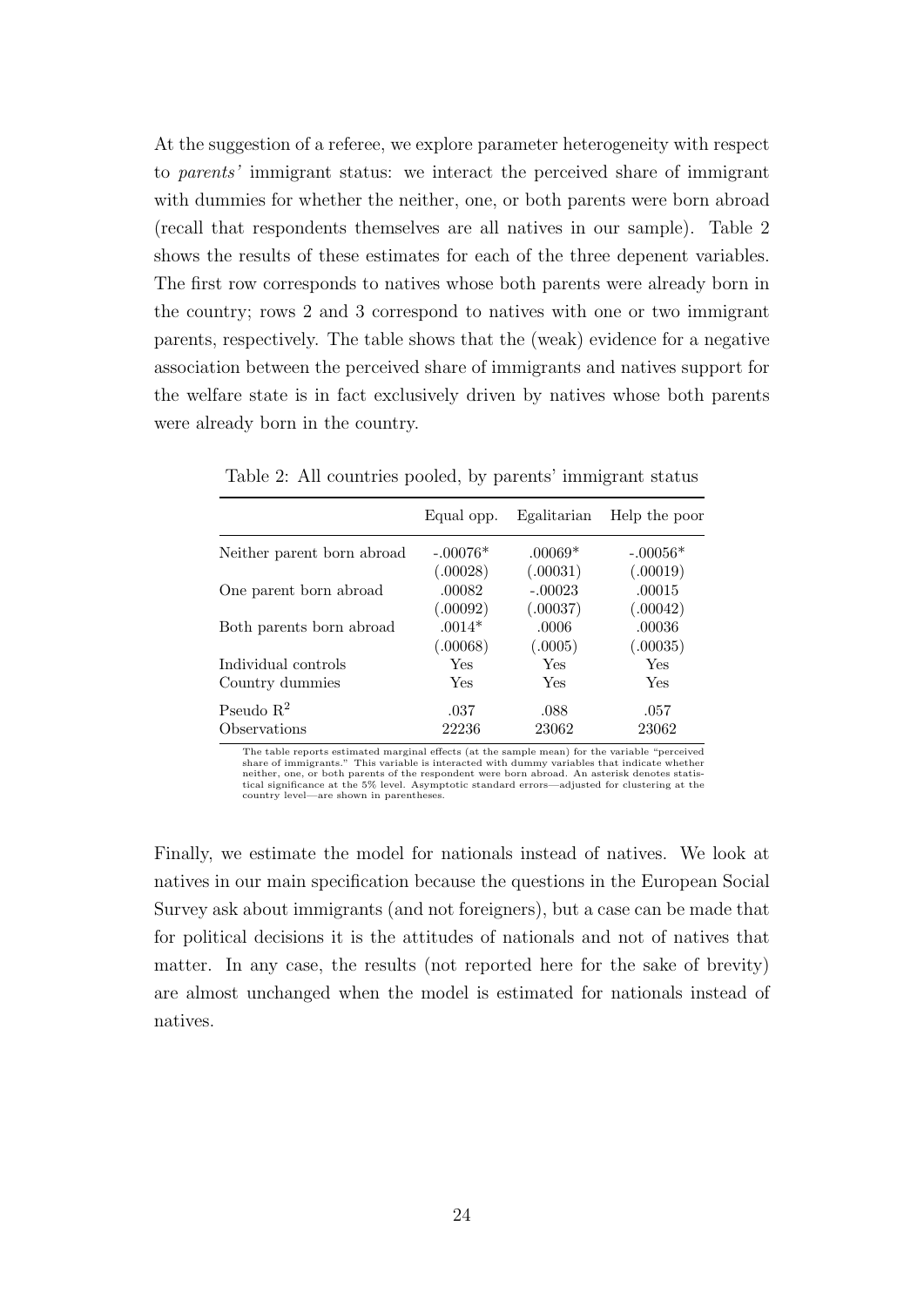At the suggestion of a referee, we explore parameter heterogeneity with respect to parents' immigrant status: we interact the perceived share of immigrant with dummies for whether the neither, one, or both parents were born abroad (recall that respondents themselves are all natives in our sample). Table 2 shows the results of these estimates for each of the three depenent variables. The first row corresponds to natives whose both parents were already born in the country; rows 2 and 3 correspond to natives with one or two immigrant parents, respectively. The table shows that the (weak) evidence for a negative association between the perceived share of immigrants and natives support for the welfare state is in fact exclusively driven by natives whose both parents were already born in the country.

|                            | Equal opp. | Egalitarian | Help the poor |
|----------------------------|------------|-------------|---------------|
| Neither parent born abroad | $-.00076*$ | $.00069*$   | $-.00056*$    |
|                            | (.00028)   | (.00031)    | (.00019)      |
| One parent born abroad     | .00082     | $-.00023$   | .00015        |
|                            | (.00092)   | (.00037)    | (.00042)      |
| Both parents born abroad   | $.0014*$   | .0006       | .00036        |
|                            | (.00068)   | (.0005)     | (.00035)      |
| Individual controls        | Yes        | Yes         | Yes           |
| Country dummies            | Yes        | Yes         | Yes           |
| Pseudo $R^2$               | .037       | .088        | .057          |
| Observations               | 22236      | 23062       | 23062         |

Table 2: All countries pooled, by parents' immigrant status

The table reports estimated marginal effects (at the sample mean) for the variable "perceived share of immigrants." This variable is interacted with dummy variables that indicate whether neither, one, or both parents of the respondent were born abroad. An asterisk denotes statis-tical significance at the 5% level. Asymptotic standard errors—adjusted for clustering at the country level—are shown in parentheses.

Finally, we estimate the model for nationals instead of natives. We look at natives in our main specification because the questions in the European Social Survey ask about immigrants (and not foreigners), but a case can be made that for political decisions it is the attitudes of nationals and not of natives that matter. In any case, the results (not reported here for the sake of brevity) are almost unchanged when the model is estimated for nationals instead of natives.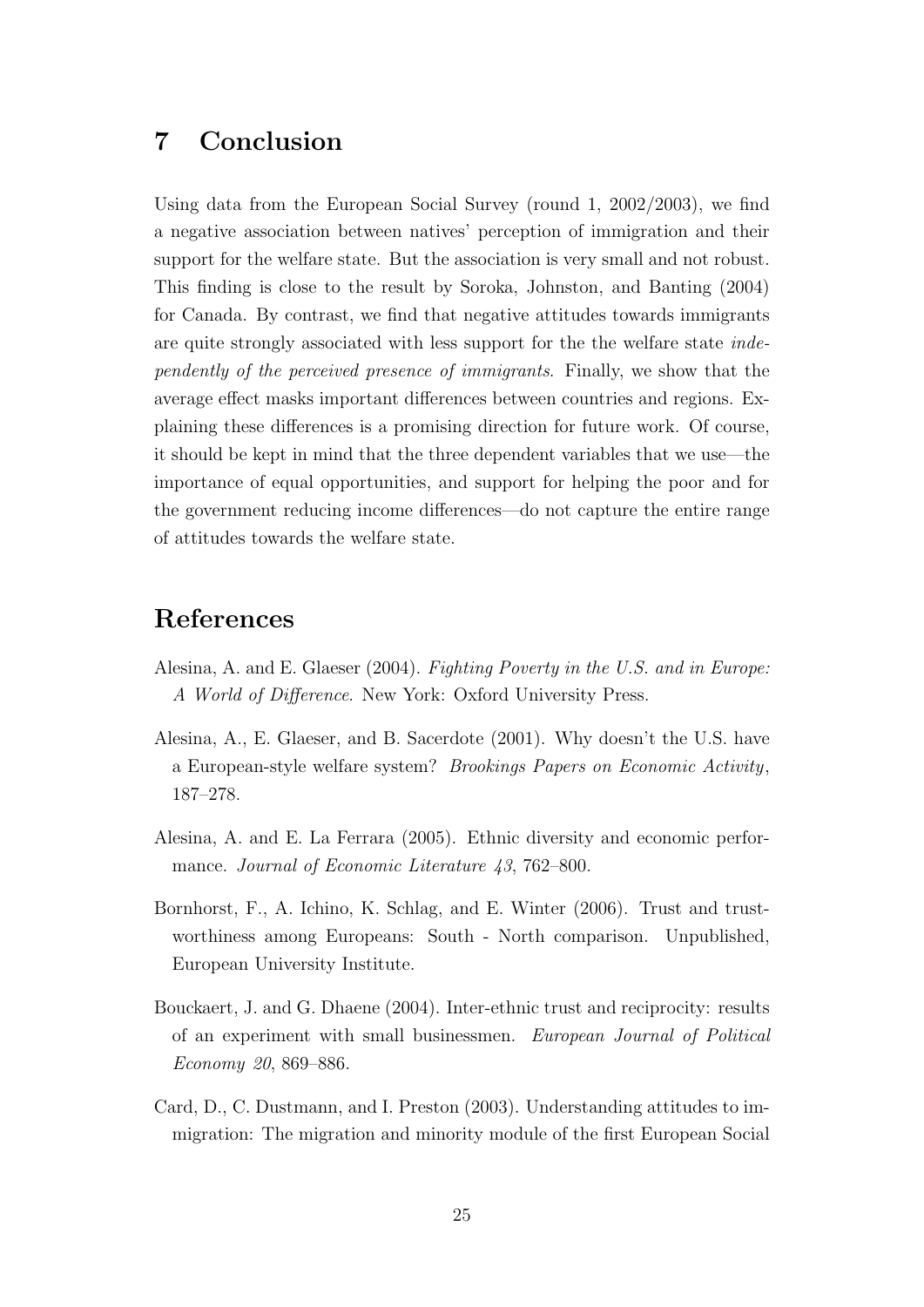## 7 Conclusion

Using data from the European Social Survey (round 1, 2002/2003), we find a negative association between natives' perception of immigration and their support for the welfare state. But the association is very small and not robust. This finding is close to the result by Soroka, Johnston, and Banting (2004) for Canada. By contrast, we find that negative attitudes towards immigrants are quite strongly associated with less support for the the welfare state *inde*pendently of the perceived presence of immigrants. Finally, we show that the average effect masks important differences between countries and regions. Explaining these differences is a promising direction for future work. Of course, it should be kept in mind that the three dependent variables that we use—the importance of equal opportunities, and support for helping the poor and for the government reducing income differences—do not capture the entire range of attitudes towards the welfare state.

# References

- Alesina, A. and E. Glaeser (2004). Fighting Poverty in the U.S. and in Europe: A World of Difference. New York: Oxford University Press.
- Alesina, A., E. Glaeser, and B. Sacerdote (2001). Why doesn't the U.S. have a European-style welfare system? Brookings Papers on Economic Activity, 187–278.
- Alesina, A. and E. La Ferrara (2005). Ethnic diversity and economic performance. Journal of Economic Literature 43, 762–800.
- Bornhorst, F., A. Ichino, K. Schlag, and E. Winter (2006). Trust and trustworthiness among Europeans: South - North comparison. Unpublished, European University Institute.
- Bouckaert, J. and G. Dhaene (2004). Inter-ethnic trust and reciprocity: results of an experiment with small businessmen. European Journal of Political Economy 20, 869–886.
- Card, D., C. Dustmann, and I. Preston (2003). Understanding attitudes to immigration: The migration and minority module of the first European Social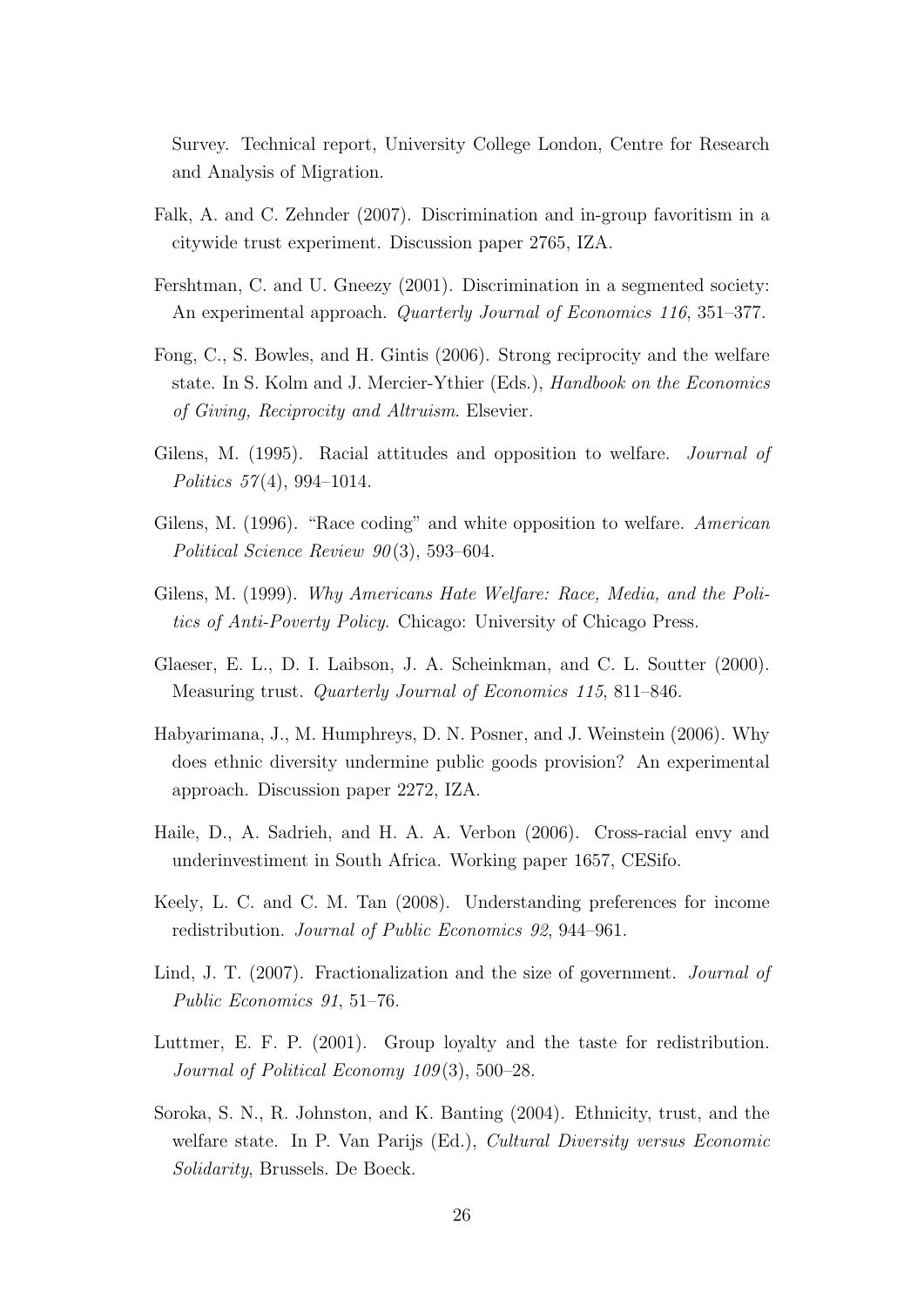Survey. Technical report, University College London, Centre for Research and Analysis of Migration.

- Falk, A. and C. Zehnder (2007). Discrimination and in-group favoritism in a citywide trust experiment. Discussion paper 2765, IZA.
- Fershtman, C. and U. Gneezy (2001). Discrimination in a segmented society: An experimental approach. *Quarterly Journal of Economics 116*, 351–377.
- Fong, C., S. Bowles, and H. Gintis (2006). Strong reciprocity and the welfare state. In S. Kolm and J. Mercier-Ythier (Eds.), Handbook on the Economics of Giving, Reciprocity and Altruism. Elsevier.
- Gilens, M. (1995). Racial attitudes and opposition to welfare. *Journal of* Politics  $57(4)$ , 994–1014.
- Gilens, M. (1996). "Race coding" and white opposition to welfare. American Political Science Review 90(3), 593-604.
- Gilens, M. (1999). Why Americans Hate Welfare: Race, Media, and the Politics of Anti-Poverty Policy. Chicago: University of Chicago Press.
- Glaeser, E. L., D. I. Laibson, J. A. Scheinkman, and C. L. Soutter (2000). Measuring trust. Quarterly Journal of Economics 115, 811–846.
- Habyarimana, J., M. Humphreys, D. N. Posner, and J. Weinstein (2006). Why does ethnic diversity undermine public goods provision? An experimental approach. Discussion paper 2272, IZA.
- Haile, D., A. Sadrieh, and H. A. A. Verbon (2006). Cross-racial envy and underinvestiment in South Africa. Working paper 1657, CESifo.
- Keely, L. C. and C. M. Tan (2008). Understanding preferences for income redistribution. Journal of Public Economics 92, 944–961.
- Lind, J. T. (2007). Fractionalization and the size of government. *Journal of* Public Economics 91, 51–76.
- Luttmer, E. F. P. (2001). Group loyalty and the taste for redistribution. Journal of Political Economy 109(3), 500-28.
- Soroka, S. N., R. Johnston, and K. Banting (2004). Ethnicity, trust, and the welfare state. In P. Van Parijs (Ed.), *Cultural Diversity versus Economic* Solidarity, Brussels. De Boeck.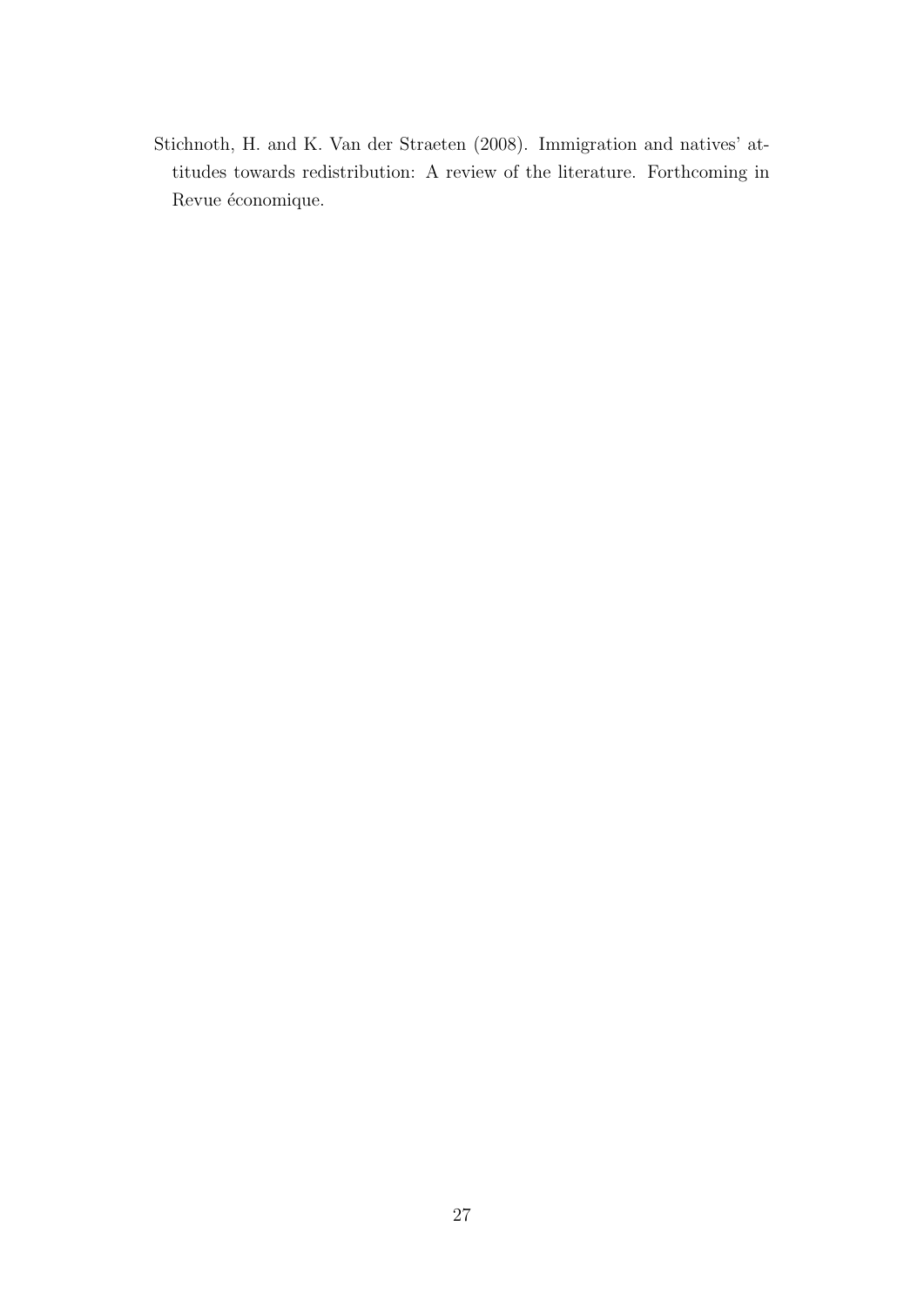Stichnoth, H. and K. Van der Straeten (2008). Immigration and natives' attitudes towards redistribution: A review of the literature. Forthcoming in Revue économique.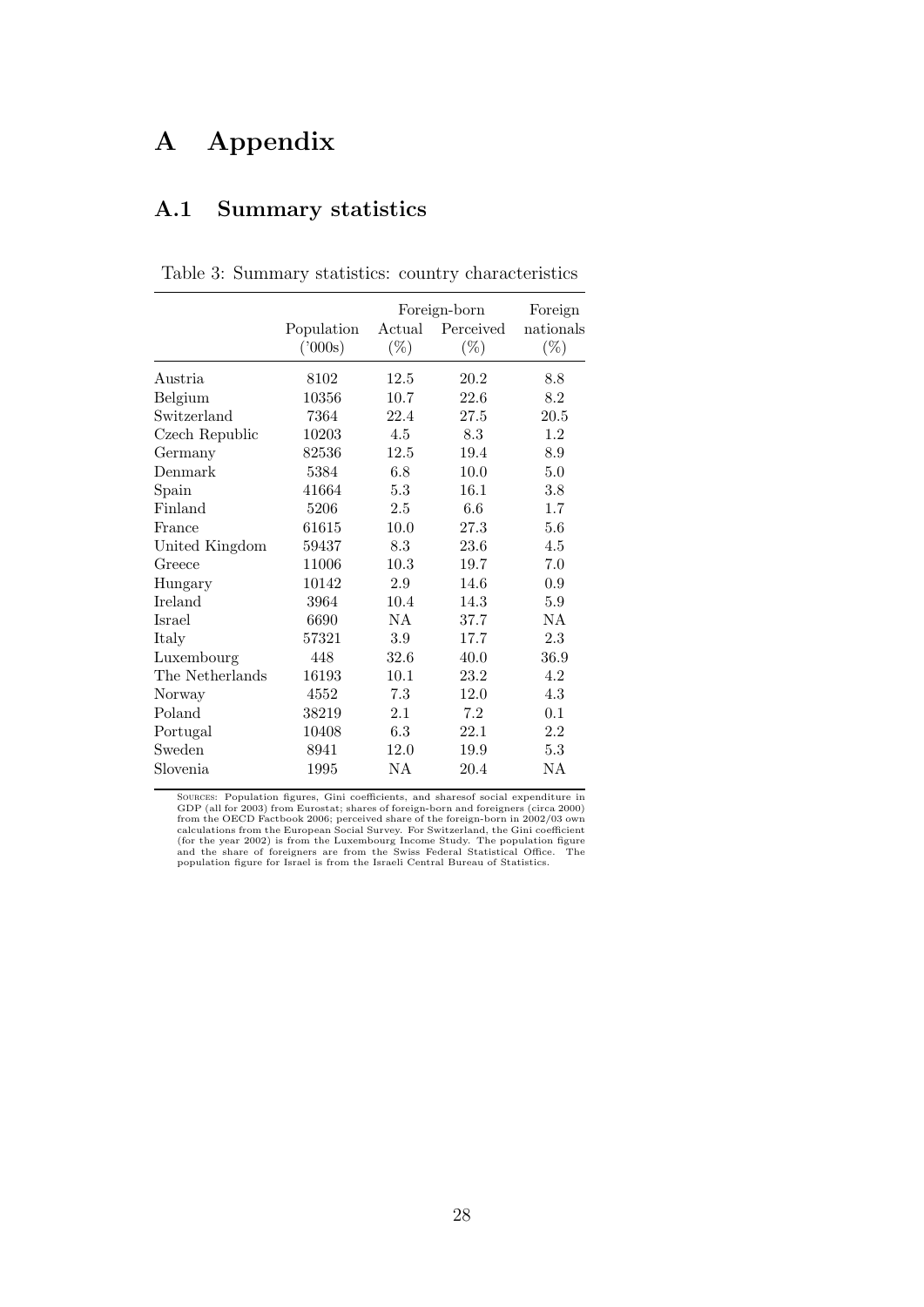# A Appendix

## A.1 Summary statistics

|                 |            |        | Foreign-born | Foreign   |
|-----------------|------------|--------|--------------|-----------|
|                 | Population | Actual | Perceived    | nationals |
|                 | ('000s)    | $(\%)$ | $(\%)$       | $(\%)$    |
| Austria         | 8102       | 12.5   | 20.2         | 8.8       |
| Belgium         | 10356      | 10.7   | 22.6         | 8.2       |
| Switzerland     | 7364       | 22.4   | 27.5         | 20.5      |
| Czech Republic  | 10203      | 4.5    | 8.3          | 1.2       |
| Germany         | 82536      | 12.5   | 19.4         | 8.9       |
| Denmark         | 5384       | 6.8    | 10.0         | $5.0\,$   |
| Spain           | 41664      | 5.3    | 16.1         | 3.8       |
| Finland         | 5206       | 2.5    | 6.6          | 1.7       |
| France          | 61615      | 10.0   | 27.3         | 5.6       |
| United Kingdom  | 59437      | 8.3    | 23.6         | 4.5       |
| Greece          | 11006      | 10.3   | 19.7         | 7.0       |
| Hungary         | 10142      | 2.9    | 14.6         | 0.9       |
| Ireland         | 3964       | 10.4   | 14.3         | 5.9       |
| Israel          | 6690       | NA     | 37.7         | NA        |
| Italy           | 57321      | 3.9    | 17.7         | 2.3       |
| Luxembourg      | 448        | 32.6   | 40.0         | 36.9      |
| The Netherlands | 16193      | 10.1   | 23.2         | 4.2       |
| Norway          | 4552       | 7.3    | 12.0         | 4.3       |
| Poland          | 38219      | 2.1    | 7.2          | 0.1       |
| Portugal        | 10408      | 6.3    | 22.1         | 2.2       |
| Sweden          | 8941       | 12.0   | 19.9         | $5.3\,$   |
| Slovenia        | 1995       | ΝA     | 20.4         | ΝA        |

Table 3: Summary statistics: country characteristics

SOURCES: Population figures, Gini coefficients, and sharesof social expenditure in GDP (all for 2003) from Eurostat; shares of foreign-born and foreigners (circa 2000) for figures for figure from the OECD Factbook 2006; pe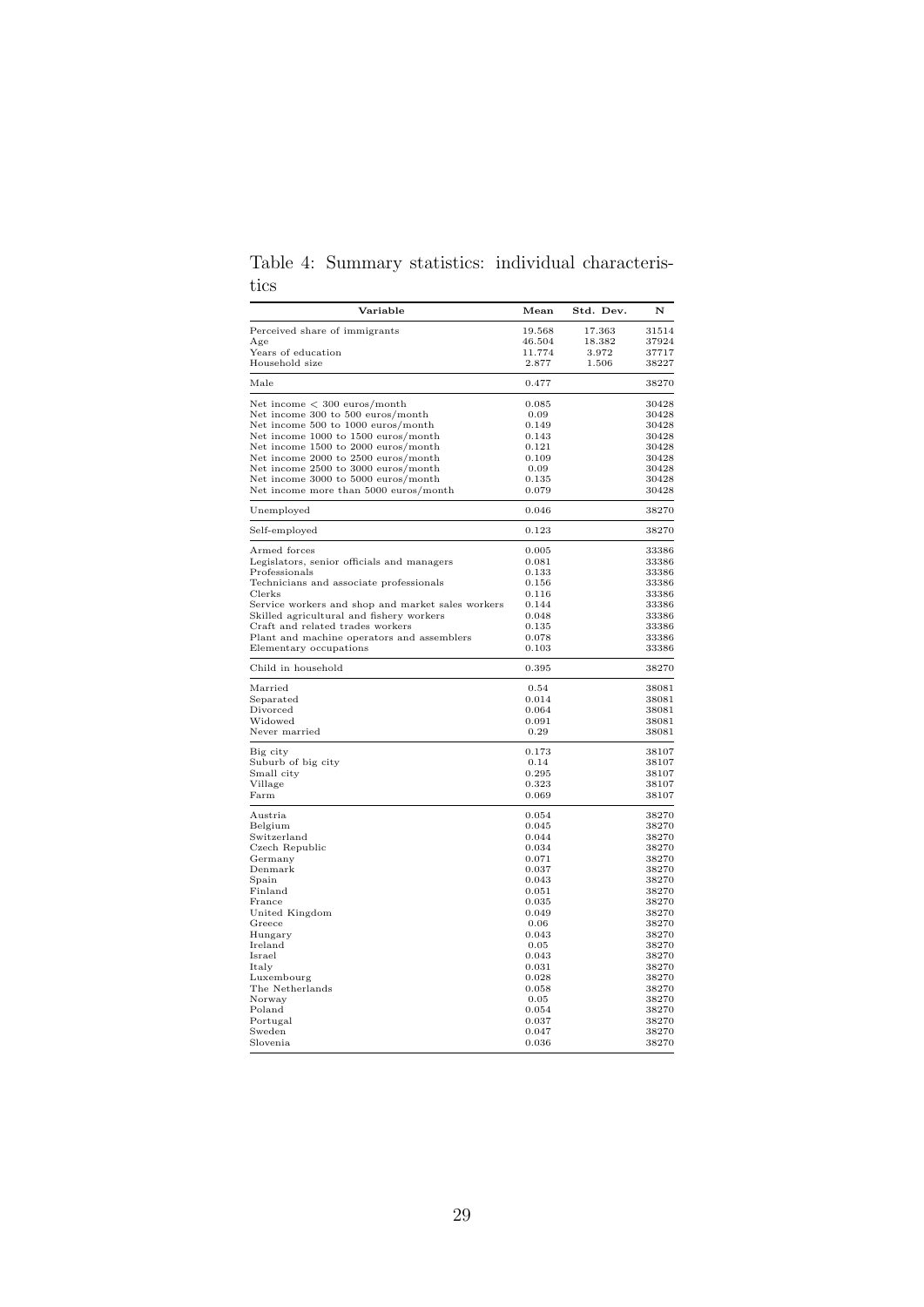Table 4: Summary statistics: individual characteristics

| Variable                                                                       | Mean           | Std. Dev. | N              |
|--------------------------------------------------------------------------------|----------------|-----------|----------------|
| Perceived share of immigrants                                                  | 19.568         | 17.363    | 31514          |
| Age                                                                            | 46.504         | 18.382    | 37924          |
| Years of education                                                             | 11.774         | 3.972     | 37717          |
| Household size                                                                 | 2.877          | 1.506     | 38227          |
| Male                                                                           | 0.477          |           | 38270          |
| Net income $<$ 300 euros/month                                                 | 0.085          |           | 30428          |
| Net income 300 to 500 euros/month                                              | 0.09           |           | 30428          |
| Net income 500 to 1000 euros/month                                             | 0.149          |           | 30428          |
| Net income 1000 to 1500 euros/month                                            | 0.143          |           | 30428<br>30428 |
| Net income 1500 to 2000 euros/month<br>Net income 2000 to 2500 euros/month     | 0.121<br>0.109 |           | 30428          |
| Net income 2500 to 3000 euros/month                                            | 0.09           |           | 30428          |
| Net income 3000 to 5000 euros/month                                            | 0.135          |           | 30428          |
| Net income more than 5000 euros/month                                          | 0.079          |           | 30428          |
| Unemployed                                                                     | 0.046          |           | 38270          |
| Self-employed                                                                  | 0.123          |           | 38270          |
| Armed forces                                                                   | 0.005          |           | 33386          |
| Legislators, senior officials and managers                                     | 0.081          |           | 33386          |
| Professionals                                                                  | 0.133          |           | 33386          |
| Technicians and associate professionals                                        | 0.156          |           | 33386          |
| Clerks                                                                         | 0.116          |           | 33386          |
| Service workers and shop and market sales workers                              | 0.144          |           | 33386          |
| Skilled agricultural and fishery workers                                       | 0.048          |           | 33386          |
| Craft and related trades workers<br>Plant and machine operators and assemblers | 0.135<br>0.078 |           | 33386<br>33386 |
| Elementary occupations                                                         | 0.103          |           | 33386          |
| Child in household                                                             | 0.395          |           | 38270          |
| Married                                                                        | 0.54           |           | 38081          |
| Separated                                                                      | 0.014          |           | 38081          |
| Divorced                                                                       | 0.064          |           | 38081          |
| Widowed                                                                        | 0.091          |           | 38081          |
| Never married                                                                  | 0.29           |           | 38081          |
| Big city                                                                       | 0.173          |           | 38107          |
| Suburb of big city                                                             | 0.14           |           | 38107          |
| Small city                                                                     | 0.295          |           | 38107          |
| Village                                                                        | 0.323          |           | 38107          |
| Farm                                                                           | 0.069          |           | 38107          |
| Austria                                                                        | 0.054          |           | 38270          |
| Belgium                                                                        | 0.045          |           | 38270          |
| Switzerland<br>Czech Republic                                                  | 0.044          |           | 38270          |
| Germany                                                                        | 0.034<br>0.071 |           | 38270<br>38270 |
| Denmark                                                                        | 0.037          |           | 38270          |
| Spain                                                                          | 0.043          |           | 38270          |
| Finland                                                                        | 0.051          |           | 38270          |
| France                                                                         | 0.035          |           | 38270          |
| United Kingdom                                                                 | 0.049          |           | 38270          |
| Greece                                                                         | 0.06           |           | 38270          |
| Hungary                                                                        | 0.043          |           | 38270          |
| Ireland                                                                        | 0.05<br>0.043  |           | 38270<br>38270 |
| Israel<br>Italy                                                                | 0.031          |           | 38270          |
| Luxembourg                                                                     | 0.028          |           | 38270          |
| The Netherlands                                                                | 0.058          |           | 38270          |
| Norway                                                                         | 0.05           |           | 38270          |
| Poland                                                                         | 0.054          |           | 38270          |
| Portugal                                                                       | 0.037          |           | 38270          |
| Sweden                                                                         | 0.047          |           | 38270          |
| Slovenia                                                                       | 0.036          |           | 38270          |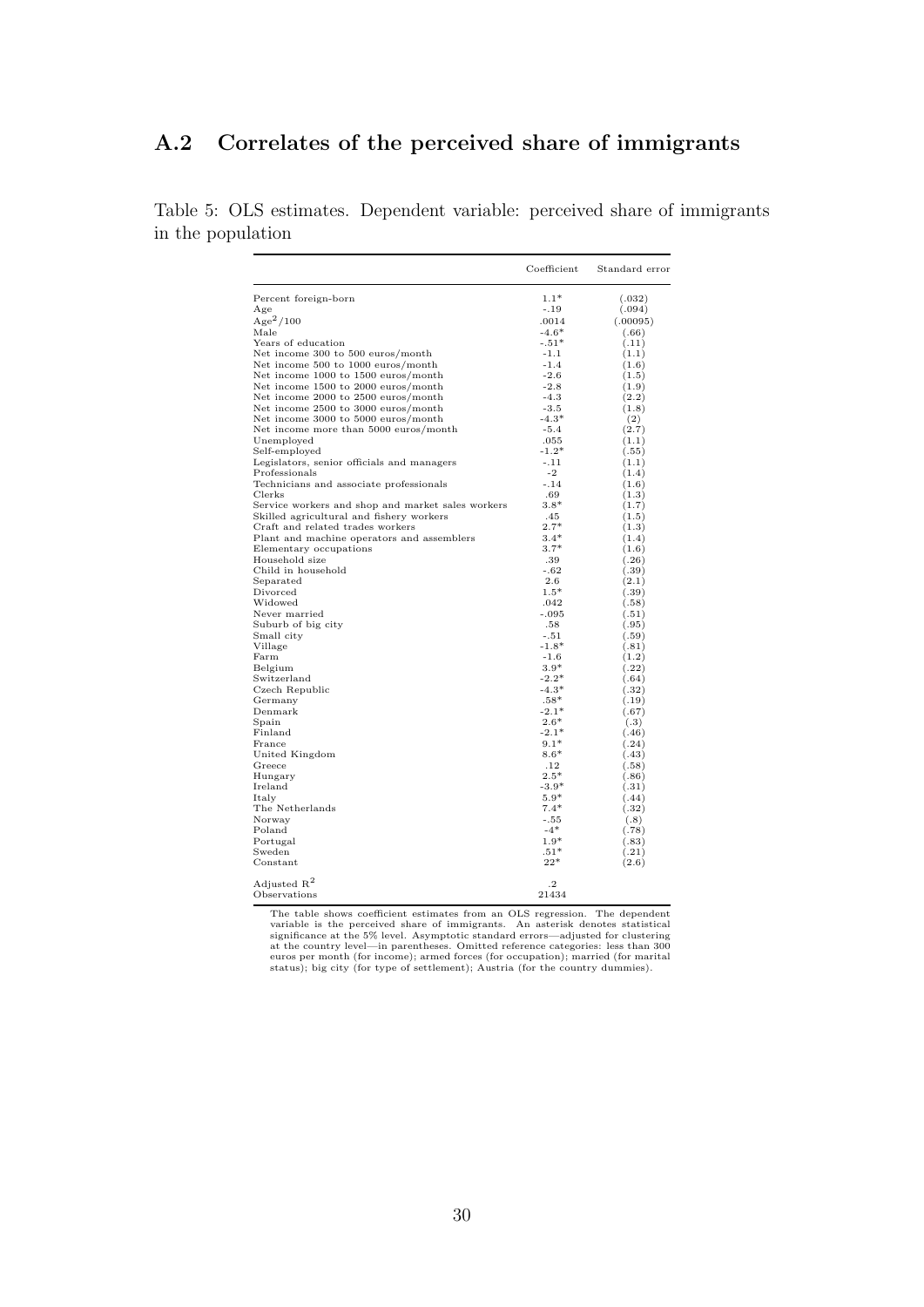## A.2 Correlates of the perceived share of immigrants

Table 5: OLS estimates. Dependent variable: perceived share of immigrants in the population

|                                                   | Coefficient   | Standard error |
|---------------------------------------------------|---------------|----------------|
| Percent foreign-born                              | $1.1*$        | (.032)         |
| Age                                               | $-.19$        | (.094)         |
| $A\epsilon e^2/100$                               | .0014         | (.00095)       |
| Male                                              | $-4.6*$       | (.66)          |
| Years of education                                | $-.51*$       | (.11)          |
| Net income 300 to 500 euros/month                 | $-1.1$        | (1.1)          |
| Net income 500 to 1000 euros/month                | $-1.4$        | (1.6)          |
| Net income 1000 to 1500 euros/month               | $-2.6$        | (1.5)          |
| Net income 1500 to 2000 euros/month               | $-2.8$        | (1.9)          |
| Net income 2000 to 2500 euros/month               | $-4.3$        | (2.2)          |
| Net income 2500 to 3000 euros/month               | $-3.5$        | (1.8)          |
| Net income 3000 to 5000 euros/month               | $-4.3*$       | (2)            |
| Net income more than 5000 euros/month             | $-5.4$        | (2.7)          |
| Unemployed                                        | .055          | (1.1)          |
| Self-employed                                     | $-1.2*$       | (.55)          |
| Legislators, senior officials and managers        | $-.11$        | (1.1)          |
| Professionals                                     | $-2$          | (1.4)          |
| Technicians and associate professionals           | $-.14$        | (1.6)          |
| Clerks                                            | .69           | (1.3)          |
| Service workers and shop and market sales workers | $3.8*$        | (1.7)          |
| Skilled agricultural and fishery workers          | .45           | (1.5)          |
| Craft and related trades workers                  | $2.7*$        | (1.3)          |
| Plant and machine operators and assemblers        | $3.4*$        | (1.4)          |
| Elementary occupations                            | $3.7*$        | (1.6)          |
| Household size                                    | .39           | (.26)          |
| Child in household<br>Separated                   | $-.62$<br>2.6 | (.39)          |
| Divorced                                          | $1.5*$        | (2.1)          |
| Widowed                                           | .042          | (.39)<br>(.58) |
| Never married                                     | $-.095$       | (.51)          |
| Suburb of big city                                | .58           | (.95)          |
| Small city                                        | $-.51$        | (.59)          |
| Village                                           | $-1.8*$       | (.81)          |
| Farm                                              | $-1.6$        | (1.2)          |
| Belgium                                           | $3.9*$        | (.22)          |
| Switzerland                                       | $-2.2*$       | (.64)          |
| Czech Republic                                    | $-4.3*$       | (.32)          |
| Germany                                           | $.58*$        | (.19)          |
| Denmark                                           | $-2.1*$       | (.67)          |
| Spain                                             | $2.6*$        | (.3)           |
| Finland                                           | $-2.1*$       | (.46)          |
| France                                            | $9.1*$        | (.24)          |
| United Kingdom                                    | $8.6*$        | (.43)          |
| Greece                                            | .12           | (.58)          |
| Hungary                                           | $2.5*$        | (.86)          |
| Ireland                                           | $-3.9*$       | (.31)          |
| Italy                                             | $5.9*$        | (.44)          |
| The Netherlands                                   | $7.4*$        | (.32)          |
| Norway                                            | $-.55$        | (.8)           |
| Poland                                            | $-4*$         | (.78)          |
| Portugal                                          | $1.9*$        | (.83)          |
| Sweden                                            | $.51*$        | (.21)          |
| Constant                                          | $22*$         | (2.6)          |
| Adjusted $R^2$                                    | .2            |                |
| Observations                                      | 21434         |                |

The table shows coefficient estimates from an OLS regression. The dependent<br>variable is the perceived share of immigrants. An asterisk denotes statistical<br>significance at the 5% level. Asymptotic standard errors—adjusted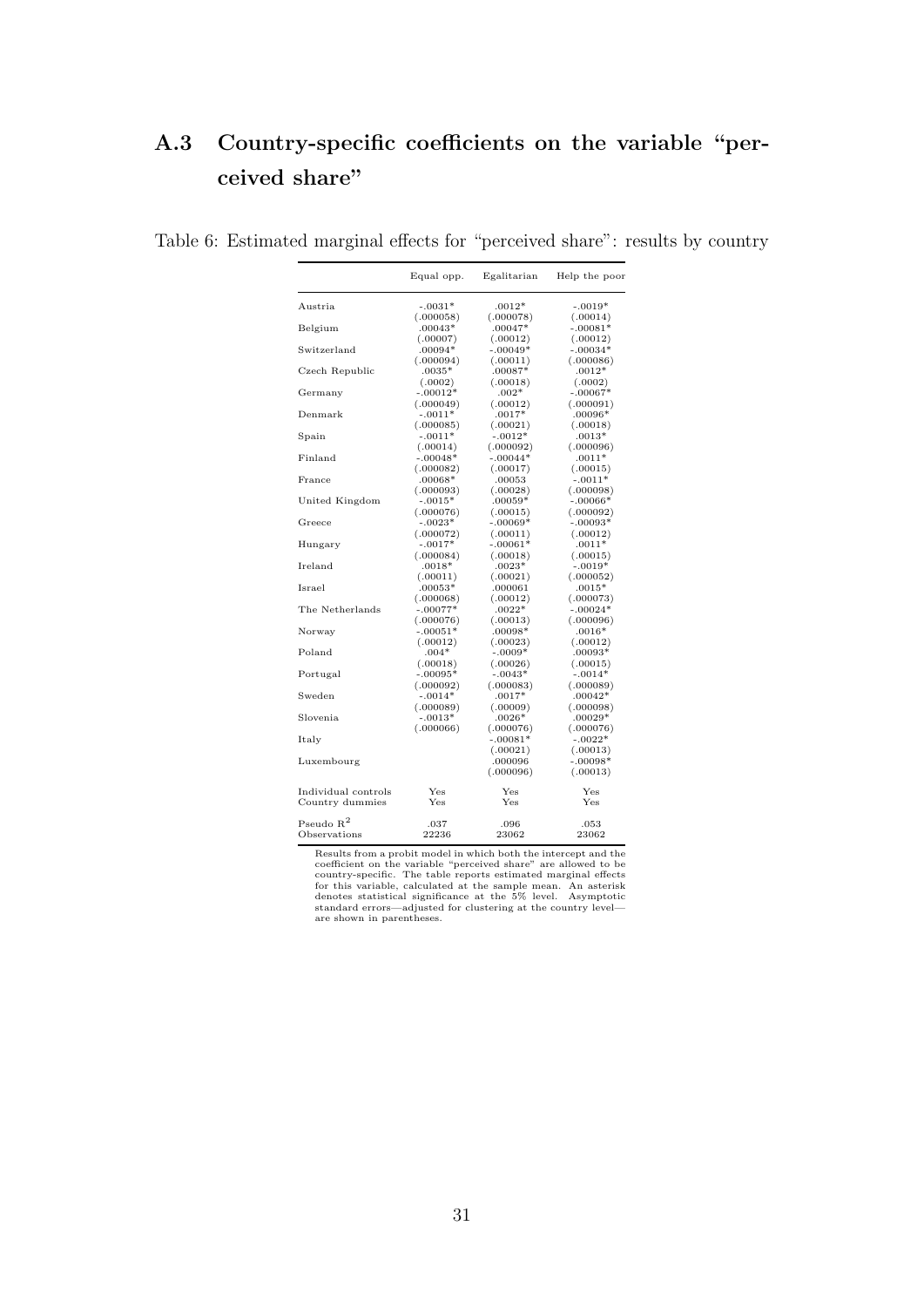# A.3 Country-specific coefficients on the variable "perceived share"

|                       | Equal opp. | Egalitarian | Help the poor |
|-----------------------|------------|-------------|---------------|
| Austria               | $-.0031*$  | $.0012*$    | $-.0019*$     |
|                       | (.000058)  | (.000078)   | (.00014)      |
| Belgium               | $.00043*$  | $.00047*$   | $-.00081*$    |
|                       | (.00007)   | (.00012)    | (.00012)      |
| Switzerland           | $.00094*$  | $-.00049*$  | $-.00034*$    |
|                       | (.000094)  | (.00011)    | (.000086)     |
| Czech Republic        | $.0035*$   | $.00087*$   | $.0012*$      |
|                       | (.0002)    | (.00018)    | (.0002)       |
| Germany               | $-.00012*$ | $.002*$     | $-.00067*$    |
|                       | (.000049)  | (.00012)    | (.000091)     |
| Demmark               | $-.0011*$  | $.0017*$    | $.00096*$     |
|                       | (.000085)  | (.00021)    | (.00018)      |
| $S$ pain              | $-.0011*$  | $-.0012*$   | $.0013*$      |
|                       | (.00014)   | (.000092)   | (.000096)     |
| Finland               | $-.00048*$ | $-.00044*$  | $.0011*$      |
|                       | (.000082)  | (.00017)    | (.00015)      |
| France                | $.00068*$  | .00053      | $-.0011*$     |
|                       | (.000093)  | (.00028)    | (.000098)     |
| United Kingdom        | $-.0015*$  | $.00059*$   | $-.00066*$    |
|                       | (.000076)  | (.00015)    | (.000092)     |
| Greece                | $-.0023*$  | $-.00069*$  | $-.00093*$    |
|                       | (.000072)  | (.00011)    | (.00012)      |
| Hungary               | $-.0017*$  | $-.00061*$  | $.0011*$      |
|                       | (.000084)  | (.00018)    | (.00015)      |
| Ireland               | $.0018*$   | $.0023*$    | $-.0019*$     |
|                       | (.00011)   | (.00021)    | (.000052)     |
| Israel                | $.00053*$  | .000061     | $.0015*$      |
|                       | (.000068)  | (.00012)    | (.000073)     |
| The Netherlands       | $-.00077*$ | $.0022*$    | $-.00024*$    |
|                       | (.000076)  | (.00013)    | (.000096)     |
| Norway                | $-.00051*$ | $.00098*$   | $.0016*$      |
|                       | (.00012)   | (.00023)    | (.00012)      |
| Poland                | $.004*$    | $-.0009*$   | $.00093*$     |
|                       | (.00018)   | (.00026)    | (.00015)      |
| Portugal              | $-.00095*$ | $-.0043*$   | $-.0014*$     |
|                       | (.000092)  | (.000083)   | (.000089)     |
| Sweden                | $-.0014*$  | $.0017*$    | $.00042*$     |
|                       | (.000089)  | (.00009)    | (.000098)     |
| Slovenia              | $-.0013*$  | $.0026*$    | $.00029*$     |
|                       | (.000066)  | (.000076)   | (.000076)     |
| Italy                 |            | $-.00081*$  | $-.0022*$     |
|                       |            | (.00021)    | (.00013)      |
| Luxembourg            |            | .000096     | $-.00098*$    |
|                       |            | (.000096)   | (.00013)      |
|                       |            |             |               |
| Individual controls   | Yes        | Yes         | Yes           |
| Country dummies       | Yes        | Yes         | Yes           |
| Pseudo $\mathbb{R}^2$ | .037       | .096        | .053          |
| Observations          | 22236      | 23062       | 23062         |
|                       |            |             |               |

Table 6: Estimated marginal effects for "perceived share": results by country

Results from a probit model in which both the intercept and the coefficient on the variable "perceived share" are allowed to be<br>country-specific. The table reports estimated marginal effects<br>for this variable, calculated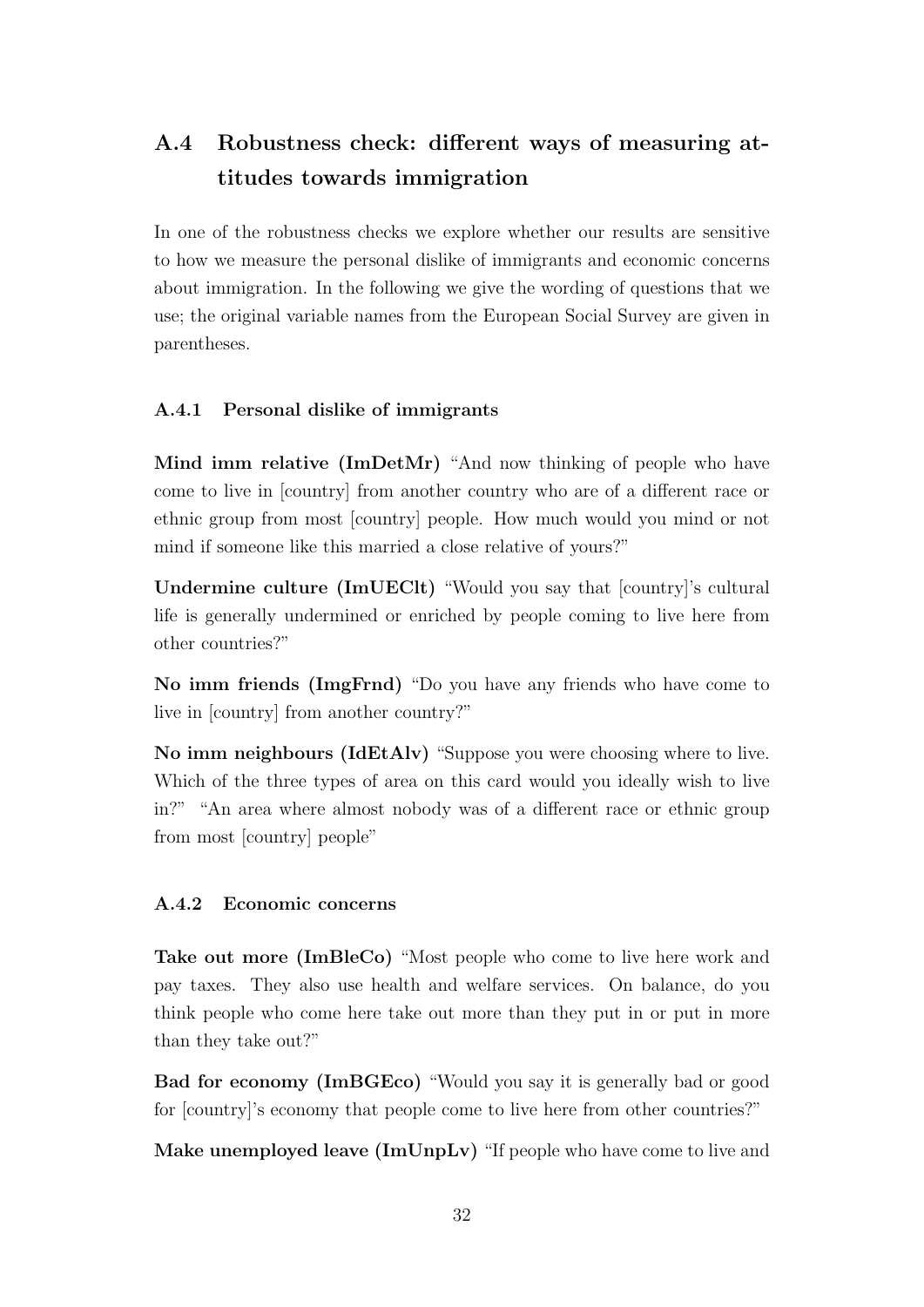# A.4 Robustness check: different ways of measuring attitudes towards immigration

In one of the robustness checks we explore whether our results are sensitive to how we measure the personal dislike of immigrants and economic concerns about immigration. In the following we give the wording of questions that we use; the original variable names from the European Social Survey are given in parentheses.

### A.4.1 Personal dislike of immigrants

Mind imm relative (ImDetMr) "And now thinking of people who have come to live in [country] from another country who are of a different race or ethnic group from most [country] people. How much would you mind or not mind if someone like this married a close relative of yours?"

Undermine culture (ImUEClt) "Would you say that [country]'s cultural life is generally undermined or enriched by people coming to live here from other countries?"

No imm friends (ImgFrnd) "Do you have any friends who have come to live in [country] from another country?"

No imm neighbours (IdEtAlv) "Suppose you were choosing where to live. Which of the three types of area on this card would you ideally wish to live in?" "An area where almost nobody was of a different race or ethnic group from most [country] people"

#### A.4.2 Economic concerns

Take out more (ImBleCo) "Most people who come to live here work and pay taxes. They also use health and welfare services. On balance, do you think people who come here take out more than they put in or put in more than they take out?"

Bad for economy (ImBGEco) "Would you say it is generally bad or good for [country]'s economy that people come to live here from other countries?"

Make unemployed leave (ImUnpLv) "If people who have come to live and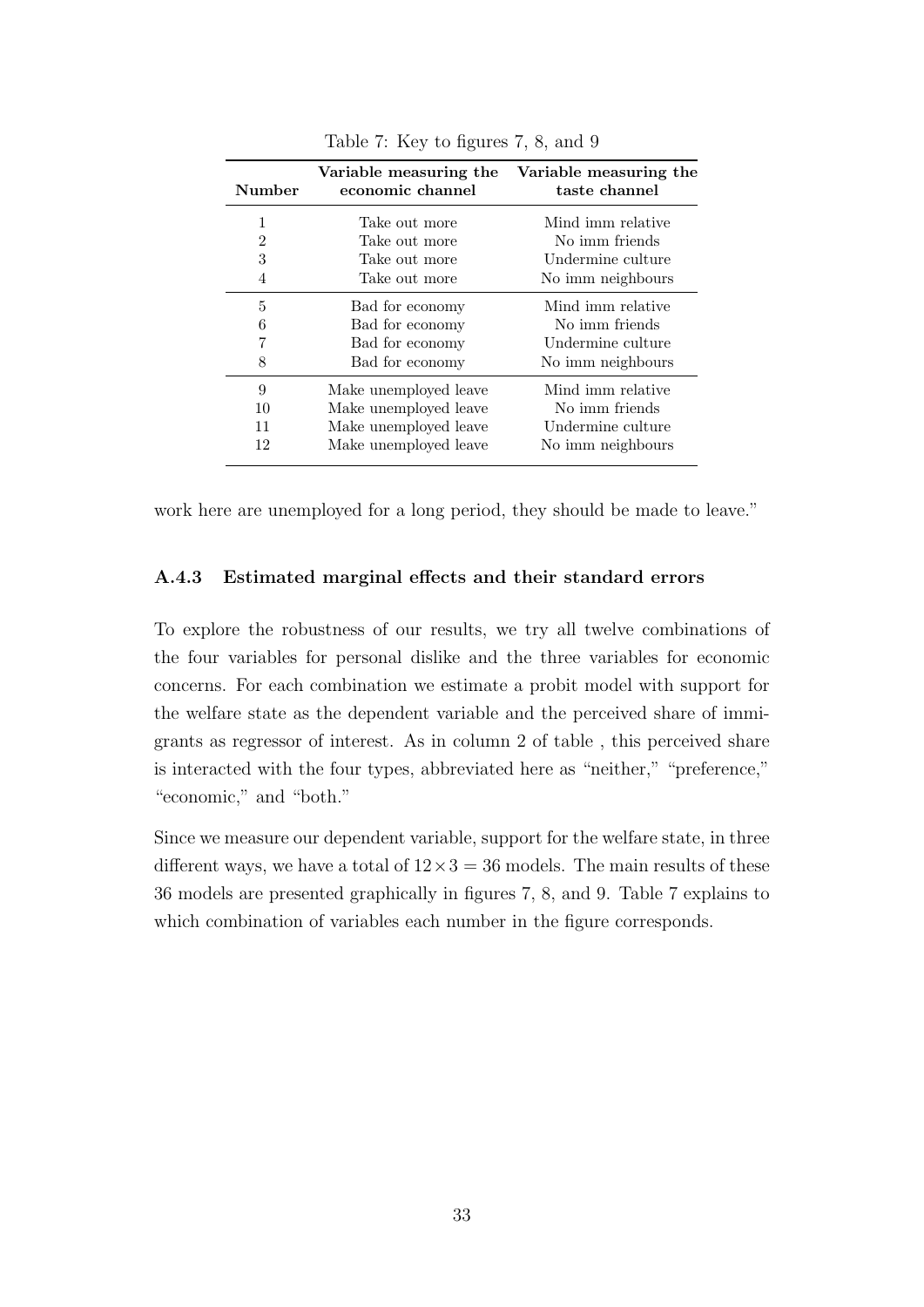| Number                      | Variable measuring the<br>economic channel | Variable measuring the<br>taste channel |
|-----------------------------|--------------------------------------------|-----------------------------------------|
| 1                           | Take out more                              | Mind imm relative                       |
| $\mathcal{D}_{\mathcal{L}}$ | Take out more                              | No imm friends                          |
| 3                           | Take out more                              | Undermine culture                       |
| 4                           | Take out more                              | No imm neighbours                       |
| 5                           | Bad for economy                            | Mind imm relative                       |
| 6                           | Bad for economy                            | No imm friends                          |
| 7                           | Bad for economy                            | Undermine culture                       |
| 8                           | Bad for economy                            | No imm neighbours                       |
| 9                           | Make unemployed leave                      | Mind imm relative                       |
| 10                          | Make unemployed leave                      | No imm friends                          |
| 11                          | Make unemployed leave                      | Undermine culture                       |
| 12                          | Make unemployed leave                      | No imm neighbours                       |

Table 7: Key to figures 7, 8, and 9

work here are unemployed for a long period, they should be made to leave."

#### A.4.3 Estimated marginal effects and their standard errors

To explore the robustness of our results, we try all twelve combinations of the four variables for personal dislike and the three variables for economic concerns. For each combination we estimate a probit model with support for the welfare state as the dependent variable and the perceived share of immigrants as regressor of interest. As in column 2 of table , this perceived share is interacted with the four types, abbreviated here as "neither," "preference," "economic," and "both."

Since we measure our dependent variable, support for the welfare state, in three different ways, we have a total of  $12 \times 3 = 36$  models. The main results of these 36 models are presented graphically in figures 7, 8, and 9. Table 7 explains to which combination of variables each number in the figure corresponds.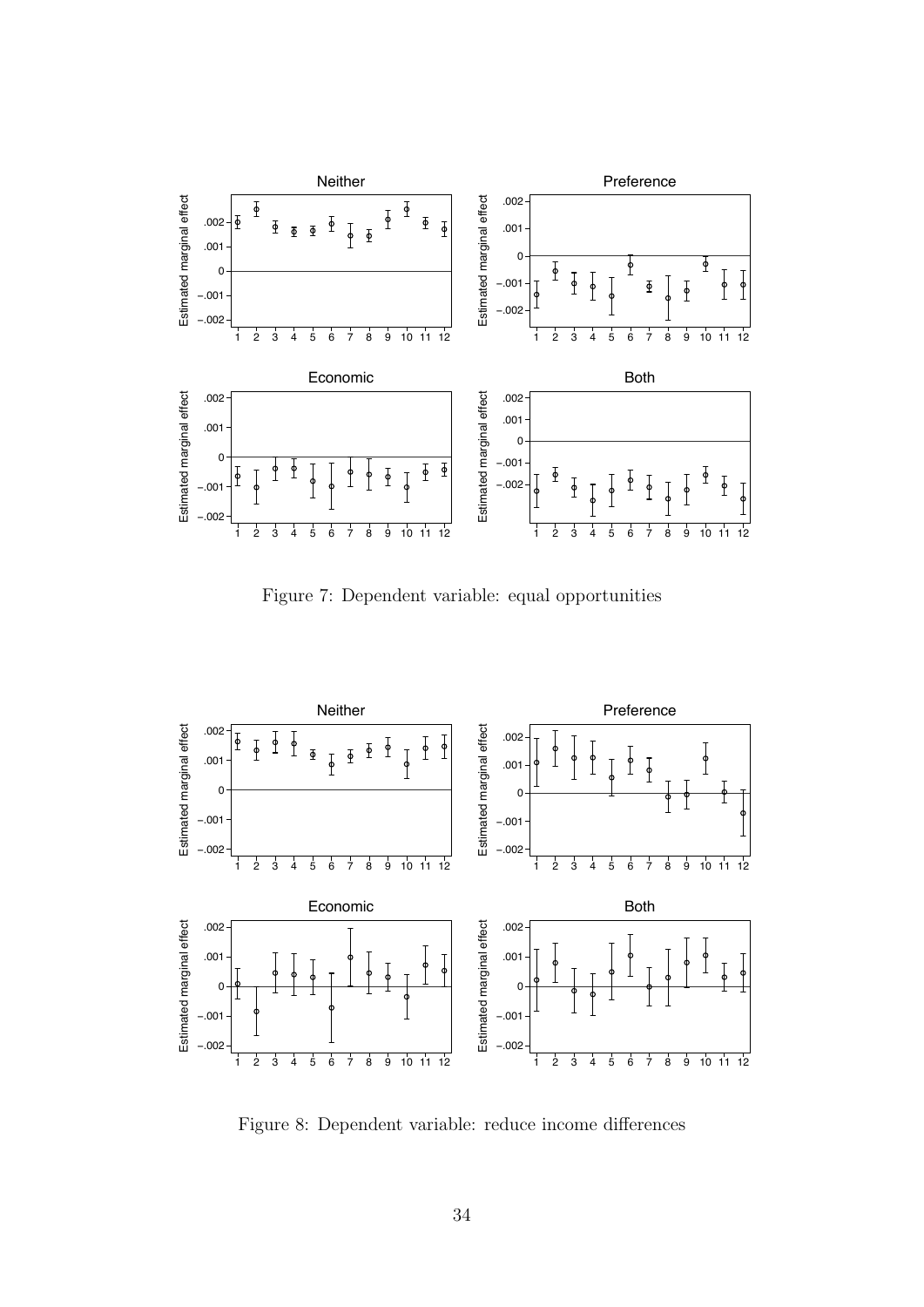

Figure 7: Dependent variable: equal opportunities



Figure 8: Dependent variable: reduce income differences